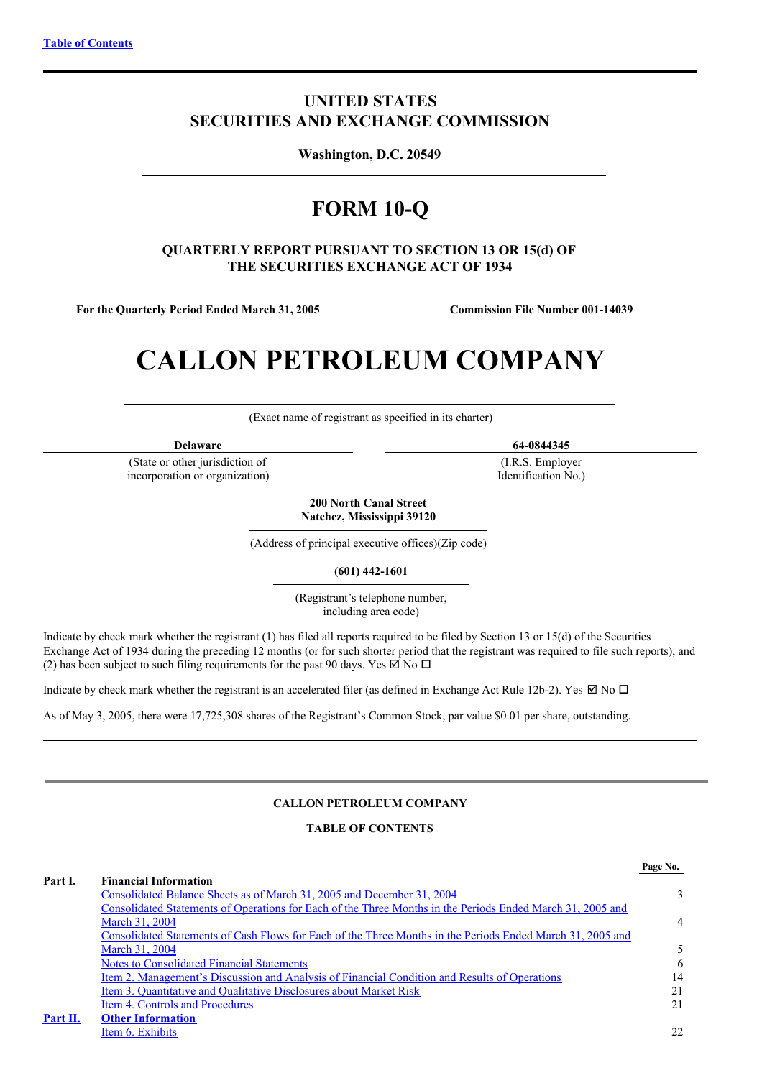## <span id="page-0-0"></span>**UNITED STATES SECURITIES AND EXCHANGE COMMISSION**

**Washington, D.C. 20549**

## **FORM 10-Q**

**QUARTERLY REPORT PURSUANT TO SECTION 13 OR 15(d) OF THE SECURITIES EXCHANGE ACT OF 1934**

**For the Quarterly Period Ended March 31, 2005 Commission File Number 001-14039**

(I.R.S. Employer Identification No.)

# **CALLON PETROLEUM COMPANY**

(Exact name of registrant as specified in its charter)

**Delaware 64-0844345**

(State or other jurisdiction of incorporation or organization)

> **200 North Canal Street Natchez, Mississippi 39120**

(Address of principal executive offices)(Zip code)

**(601) 442-1601**

(Registrant's telephone number, including area code)

Indicate by check mark whether the registrant (1) has filed all reports required to be filed by Section 13 or 15(d) of the Securities Exchange Act of 1934 during the preceding 12 months (or for such shorter period that the registrant was required to file such reports), and (2) has been subject to such filing requirements for the past 90 days. Yes  $\overline{\boxtimes}$  No  $\Box$ 

Indicate by check mark whether the registrant is an accelerated filer (as defined in Exchange Act Rule 12b-2). Yes  $\Box$  No  $\Box$ 

As of May 3, 2005, there were 17,725,308 shares of the Registrant's Common Stock, par value \$0.01 per share, outstanding.

## **CALLON PETROLEUM COMPANY**

## **TABLE OF CONTENTS**

|          |                                                                                                            | Page No.       |
|----------|------------------------------------------------------------------------------------------------------------|----------------|
| Part I.  | <b>Financial Information</b>                                                                               |                |
|          | Consolidated Balance Sheets as of March 31, 2005 and December 31, 2004                                     | 3              |
|          | Consolidated Statements of Operations for Each of the Three Months in the Periods Ended March 31, 2005 and |                |
|          | March 31, 2004                                                                                             | $\overline{4}$ |
|          | Consolidated Statements of Cash Flows for Each of the Three Months in the Periods Ended March 31, 2005 and |                |
|          | March 31, 2004                                                                                             |                |
|          | <b>Notes to Consolidated Financial Statements</b>                                                          | 6              |
|          | Item 2. Management's Discussion and Analysis of Financial Condition and Results of Operations              | 14             |
|          | Item 3. Quantitative and Qualitative Disclosures about Market Risk                                         | 21             |
|          | Item 4. Controls and Procedures                                                                            | 21             |
| Part II. | <b>Other Information</b>                                                                                   |                |
|          | Item 6. Exhibits                                                                                           | 22             |
|          |                                                                                                            |                |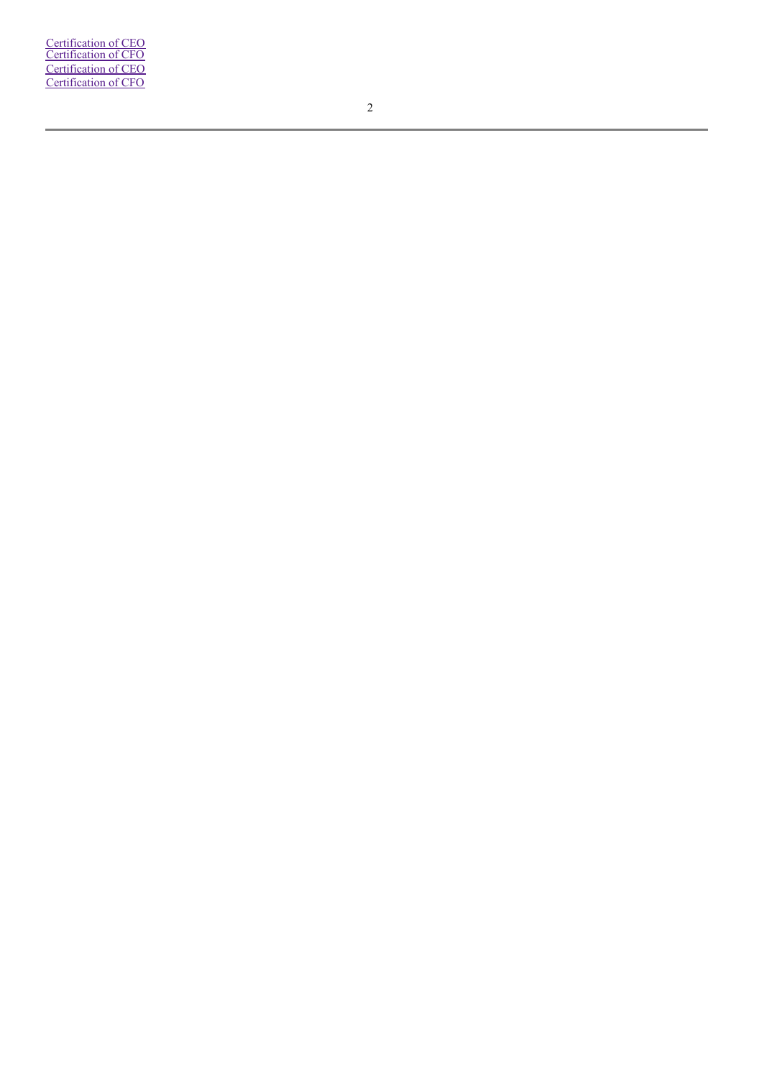Certification of CE[O](#page-28-0) Certification of CF[O](#page-30-0) Certification of CE[O](#page-32-0) Certification of CF[O](#page-33-0)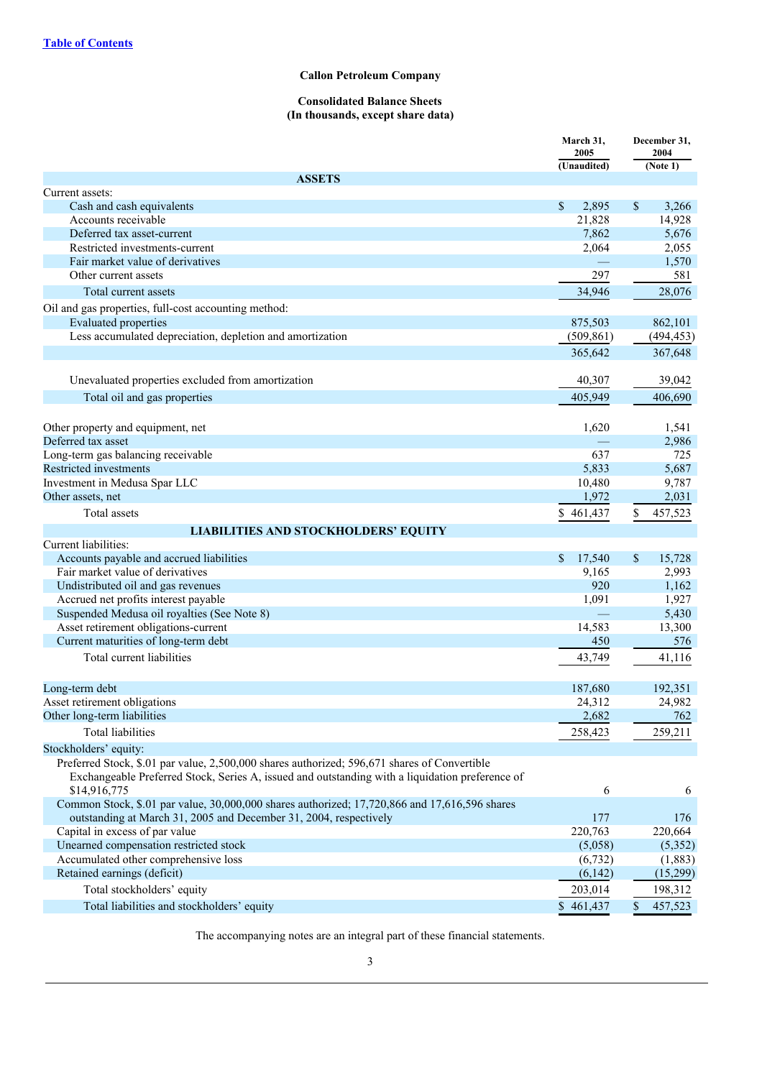## **Callon Petroleum Company**

## **Consolidated Balance Sheets (In thousands, except share data)**

|                                                                                                                                                                                                 | March 31,<br>2005<br>(Unaudited) | December 31,<br>2004<br>(Note 1) |
|-------------------------------------------------------------------------------------------------------------------------------------------------------------------------------------------------|----------------------------------|----------------------------------|
| <b>ASSETS</b>                                                                                                                                                                                   |                                  |                                  |
| Current assets:                                                                                                                                                                                 |                                  |                                  |
| Cash and cash equivalents                                                                                                                                                                       | \$<br>2,895                      | \$<br>3,266                      |
| Accounts receivable                                                                                                                                                                             | 21,828                           | 14,928                           |
| Deferred tax asset-current                                                                                                                                                                      | 7,862                            | 5,676                            |
| Restricted investments-current                                                                                                                                                                  | 2,064                            | 2,055                            |
| Fair market value of derivatives                                                                                                                                                                |                                  | 1,570                            |
| Other current assets                                                                                                                                                                            | 297                              | 581                              |
| Total current assets                                                                                                                                                                            | 34,946                           | 28,076                           |
| Oil and gas properties, full-cost accounting method:                                                                                                                                            |                                  |                                  |
| <b>Evaluated properties</b>                                                                                                                                                                     | 875,503                          | 862,101                          |
| Less accumulated depreciation, depletion and amortization                                                                                                                                       | (509, 861)                       | (494, 453)                       |
|                                                                                                                                                                                                 | 365,642                          | 367,648                          |
|                                                                                                                                                                                                 |                                  |                                  |
| Unevaluated properties excluded from amortization                                                                                                                                               | 40,307                           | 39,042                           |
|                                                                                                                                                                                                 |                                  |                                  |
| Total oil and gas properties                                                                                                                                                                    | 405,949                          | 406,690                          |
|                                                                                                                                                                                                 |                                  |                                  |
| Other property and equipment, net                                                                                                                                                               | 1,620                            | 1,541                            |
| Deferred tax asset                                                                                                                                                                              |                                  | 2,986                            |
| Long-term gas balancing receivable                                                                                                                                                              | 637                              | 725                              |
| Restricted investments                                                                                                                                                                          | 5,833                            | 5,687                            |
| Investment in Medusa Spar LLC                                                                                                                                                                   | 10,480                           | 9,787                            |
| Other assets, net                                                                                                                                                                               | 1,972                            | 2,031                            |
| Total assets                                                                                                                                                                                    | \$461,437                        | \$<br>457,523                    |
| <b>LIABILITIES AND STOCKHOLDERS' EQUITY</b>                                                                                                                                                     |                                  |                                  |
| Current liabilities:                                                                                                                                                                            |                                  |                                  |
| Accounts payable and accrued liabilities                                                                                                                                                        | \$<br>17,540                     | \$<br>15,728                     |
| Fair market value of derivatives                                                                                                                                                                | 9,165                            | 2,993                            |
| Undistributed oil and gas revenues                                                                                                                                                              | 920                              | 1,162                            |
| Accrued net profits interest payable                                                                                                                                                            | 1,091                            | 1,927                            |
| Suspended Medusa oil royalties (See Note 8)                                                                                                                                                     |                                  | 5,430                            |
| Asset retirement obligations-current                                                                                                                                                            | 14,583                           | 13,300                           |
| Current maturities of long-term debt                                                                                                                                                            | 450                              | 576                              |
| Total current liabilities                                                                                                                                                                       | 43,749                           | 41,116                           |
|                                                                                                                                                                                                 |                                  |                                  |
| Long-term debt                                                                                                                                                                                  | 187,680                          | 192,351                          |
| Asset retirement obligations                                                                                                                                                                    | 24,312                           | 24,982                           |
| Other long-term liabilities                                                                                                                                                                     | 2,682                            | 762                              |
| <b>Total liabilities</b>                                                                                                                                                                        | 258,423                          | 259,211                          |
|                                                                                                                                                                                                 |                                  |                                  |
| Stockholders' equity:                                                                                                                                                                           |                                  |                                  |
| Preferred Stock, \$.01 par value, 2,500,000 shares authorized; 596,671 shares of Convertible<br>Exchangeable Preferred Stock, Series A, issued and outstanding with a liquidation preference of |                                  |                                  |
| \$14,916,775                                                                                                                                                                                    | 6                                | 6                                |
| Common Stock, \$.01 par value, 30,000,000 shares authorized; 17,720,866 and 17,616,596 shares                                                                                                   |                                  |                                  |
| outstanding at March 31, 2005 and December 31, 2004, respectively                                                                                                                               | 177                              | 176                              |
| Capital in excess of par value                                                                                                                                                                  | 220,763                          | 220,664                          |
| Unearned compensation restricted stock                                                                                                                                                          | (5,058)                          | (5,352)                          |
| Accumulated other comprehensive loss                                                                                                                                                            | (6, 732)                         | (1,883)                          |
| Retained earnings (deficit)                                                                                                                                                                     | (6,142)                          | (15,299)                         |
|                                                                                                                                                                                                 |                                  |                                  |
| Total stockholders' equity                                                                                                                                                                      | 203,014                          | 198,312                          |
| Total liabilities and stockholders' equity                                                                                                                                                      | \$461,437                        | \$<br>457,523                    |

The accompanying notes are an integral part of these financial statements.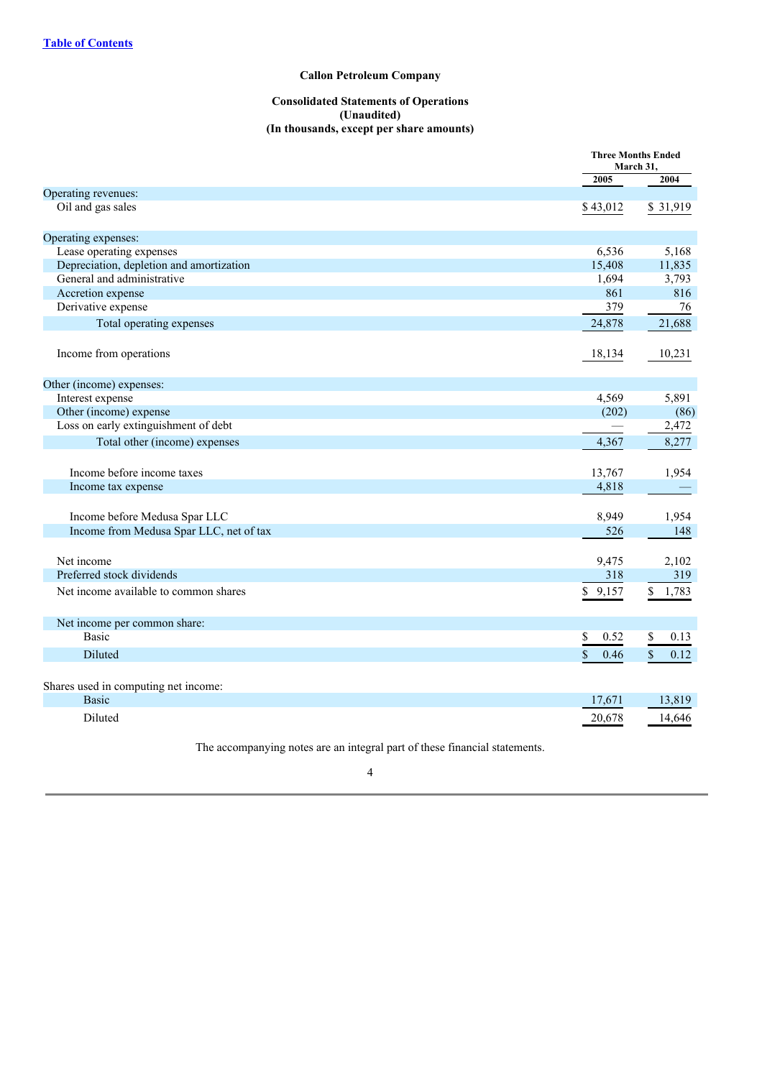## **Callon Petroleum Company**

#### **Consolidated Statements of Operations (Unaudited) (In thousands, except per share amounts)**

|                                          |            | <b>Three Months Ended</b><br>March 31, |
|------------------------------------------|------------|----------------------------------------|
|                                          | 2005       | 2004                                   |
| Operating revenues:                      |            |                                        |
| Oil and gas sales                        | \$43,012   | \$ 31,919                              |
| Operating expenses:                      |            |                                        |
| Lease operating expenses                 | 6,536      | 5,168                                  |
| Depreciation, depletion and amortization | 15,408     | 11,835                                 |
| General and administrative               | 1,694      | 3,793                                  |
| Accretion expense                        | 861        | 816                                    |
| Derivative expense                       | 379        | 76                                     |
| Total operating expenses                 | 24,878     | 21,688                                 |
| Income from operations                   | 18,134     | 10,231                                 |
| Other (income) expenses:                 |            |                                        |
| Interest expense                         | 4,569      | 5,891                                  |
| Other (income) expense                   | (202)      | (86)                                   |
| Loss on early extinguishment of debt     |            | 2,472                                  |
| Total other (income) expenses            | 4,367      | 8,277                                  |
| Income before income taxes               | 13,767     | 1,954                                  |
| Income tax expense                       | 4,818      |                                        |
|                                          |            |                                        |
|                                          |            |                                        |
| Income before Medusa Spar LLC            | 8,949      | 1,954                                  |
| Income from Medusa Spar LLC, net of tax  | 526        | 148                                    |
| Net income                               | 9,475      | 2,102                                  |
| Preferred stock dividends                | 318        | 319                                    |
| Net income available to common shares    | \$9,157    | 1,783<br>\$                            |
| Net income per common share:             |            |                                        |
| <b>Basic</b>                             | \$<br>0.52 | 0.13<br>\$                             |
| Diluted                                  | \$<br>0.46 | \$<br>0.12                             |
|                                          |            |                                        |
| Shares used in computing net income:     |            |                                        |
| <b>Basic</b>                             | 17,671     | 13,819                                 |
| Diluted                                  | 20,678     | 14,646                                 |
|                                          |            |                                        |

The accompanying notes are an integral part of these financial statements.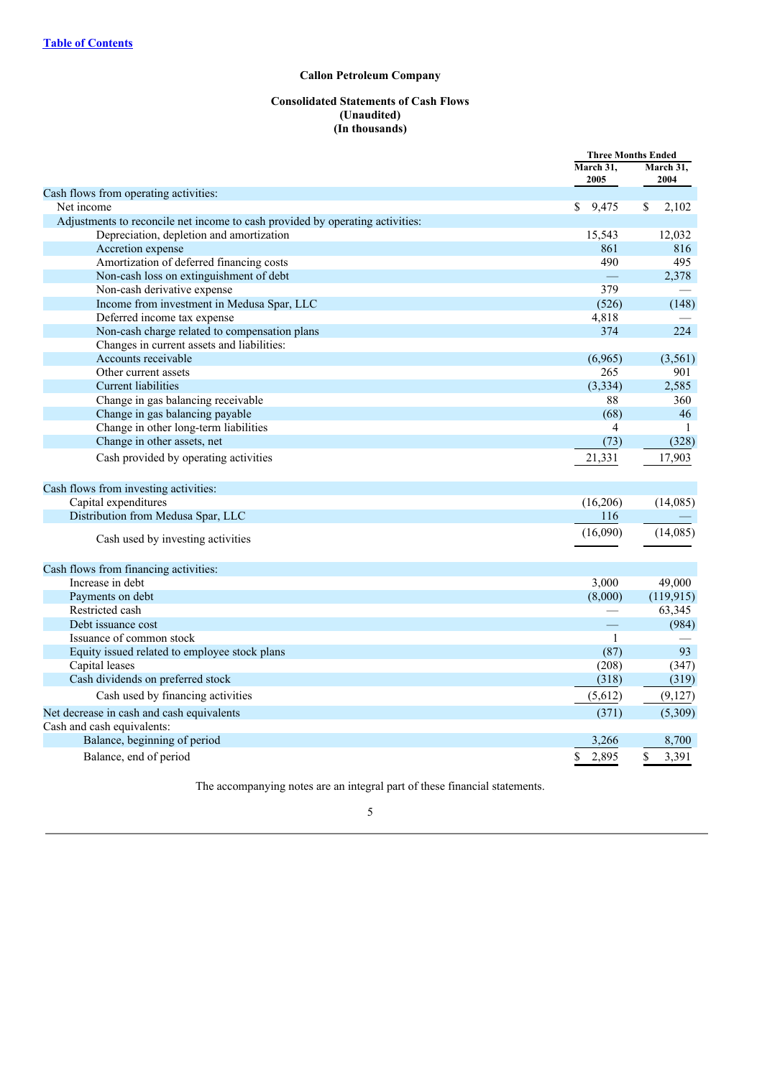## **Callon Petroleum Company**

#### **Consolidated Statements of Cash Flows (Unaudited) (In thousands)**

|                                                                               | <b>Three Months Ended</b> |                   |
|-------------------------------------------------------------------------------|---------------------------|-------------------|
|                                                                               | March 31,<br>2005         | March 31,<br>2004 |
| Cash flows from operating activities:                                         |                           |                   |
| Net income                                                                    | 9,475<br>\$               | 2,102<br>\$       |
| Adjustments to reconcile net income to cash provided by operating activities: |                           |                   |
| Depreciation, depletion and amortization                                      | 15,543                    | 12,032            |
| Accretion expense                                                             | 861                       | 816               |
| Amortization of deferred financing costs                                      | 490                       | 495               |
| Non-cash loss on extinguishment of debt                                       |                           | 2,378             |
| Non-cash derivative expense                                                   | 379                       |                   |
| Income from investment in Medusa Spar, LLC                                    | (526)                     | (148)             |
| Deferred income tax expense                                                   | 4,818                     |                   |
| Non-cash charge related to compensation plans                                 | 374                       | 224               |
| Changes in current assets and liabilities:                                    |                           |                   |
| Accounts receivable                                                           | (6,965)                   | (3,561)           |
| Other current assets                                                          | 265                       | 901               |
| Current liabilities                                                           | (3,334)                   | 2,585             |
| Change in gas balancing receivable                                            | 88                        | 360               |
| Change in gas balancing payable                                               | (68)                      | 46                |
| Change in other long-term liabilities                                         | $\overline{4}$            | -1                |
| Change in other assets, net                                                   | (73)                      | (328)             |
| Cash provided by operating activities                                         | 21,331                    | 17,903            |
| Cash flows from investing activities:                                         |                           |                   |
| Capital expenditures                                                          | (16,206)                  | (14,085)          |
| Distribution from Medusa Spar, LLC                                            | 116                       |                   |
| Cash used by investing activities                                             | (16,090)                  | (14,085)          |
| Cash flows from financing activities:                                         |                           |                   |
| Increase in debt                                                              | 3,000                     | 49,000            |
| Payments on debt                                                              | (8,000)                   | (119, 915)        |
| Restricted cash                                                               |                           | 63,345            |
| Debt issuance cost                                                            |                           | (984)             |
| Issuance of common stock                                                      | $\overline{1}$            |                   |
| Equity issued related to employee stock plans                                 | (87)                      | 93                |
| Capital leases                                                                | (208)                     | (347)             |
| Cash dividends on preferred stock                                             | (318)                     | (319)             |
| Cash used by financing activities                                             | (5,612)                   | (9,127)           |
| Net decrease in cash and cash equivalents                                     | (371)                     | (5,309)           |
| Cash and cash equivalents:                                                    |                           |                   |
| Balance, beginning of period                                                  | 3,266                     | 8.700             |
| Balance, end of period                                                        | 2,895<br>\$               | \$<br>3,391       |
|                                                                               |                           |                   |

The accompanying notes are an integral part of these financial statements.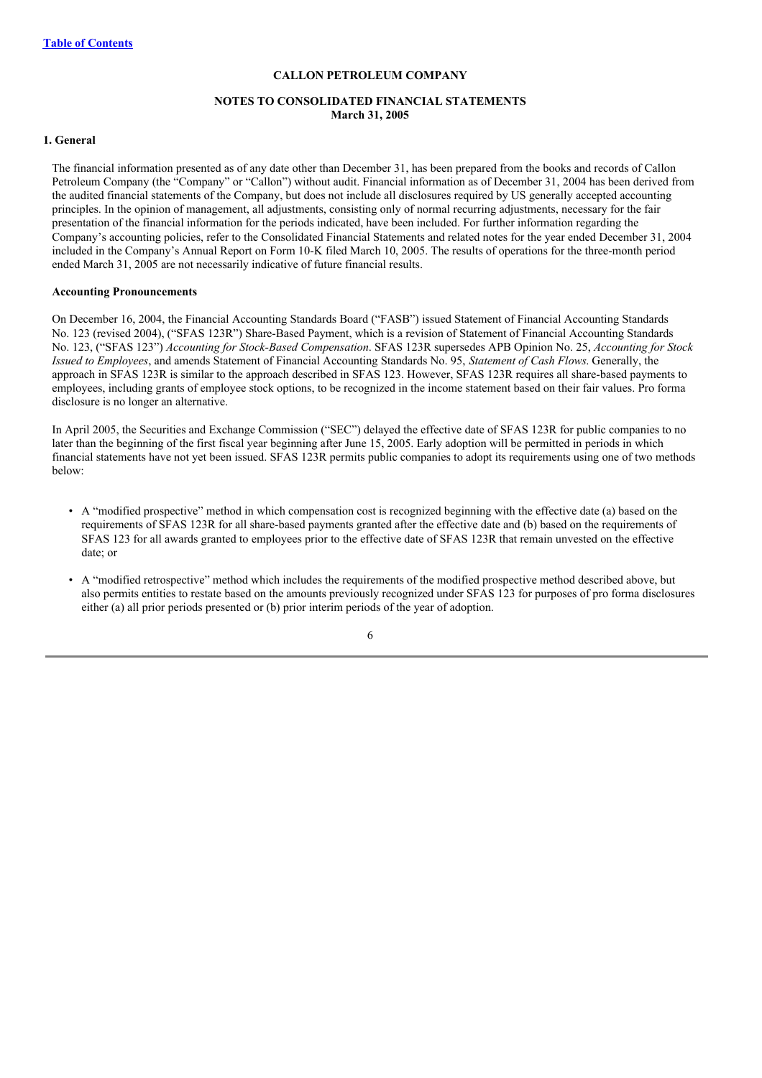#### **CALLON PETROLEUM COMPANY**

#### **NOTES TO CONSOLIDATED FINANCIAL STATEMENTS March 31, 2005**

#### **1. General**

The financial information presented as of any date other than December 31, has been prepared from the books and records of Callon Petroleum Company (the "Company" or "Callon") without audit. Financial information as of December 31, 2004 has been derived from the audited financial statements of the Company, but does not include all disclosures required by US generally accepted accounting principles. In the opinion of management, all adjustments, consisting only of normal recurring adjustments, necessary for the fair presentation of the financial information for the periods indicated, have been included. For further information regarding the Company's accounting policies, refer to the Consolidated Financial Statements and related notes for the year ended December 31, 2004 included in the Company's Annual Report on Form 10-K filed March 10, 2005. The results of operations for the three-month period ended March 31, 2005 are not necessarily indicative of future financial results.

#### **Accounting Pronouncements**

On December 16, 2004, the Financial Accounting Standards Board ("FASB") issued Statement of Financial Accounting Standards No. 123 (revised 2004), ("SFAS 123R") Share-Based Payment, which is a revision of Statement of Financial Accounting Standards No. 123, ("SFAS 123") *Accounting for Stock-Based Compensation*. SFAS 123R supersedes APB Opinion No. 25, *Accounting for Stock Issued to Employees*, and amends Statement of Financial Accounting Standards No. 95, *Statement of Cash Flows*. Generally, the approach in SFAS 123R is similar to the approach described in SFAS 123. However, SFAS 123R requires all share-based payments to employees, including grants of employee stock options, to be recognized in the income statement based on their fair values. Pro forma disclosure is no longer an alternative.

In April 2005, the Securities and Exchange Commission ("SEC") delayed the effective date of SFAS 123R for public companies to no later than the beginning of the first fiscal year beginning after June 15, 2005. Early adoption will be permitted in periods in which financial statements have not yet been issued. SFAS 123R permits public companies to adopt its requirements using one of two methods below:

- A "modified prospective" method in which compensation cost is recognized beginning with the effective date (a) based on the requirements of SFAS 123R for all share-based payments granted after the effective date and (b) based on the requirements of SFAS 123 for all awards granted to employees prior to the effective date of SFAS 123R that remain unvested on the effective date; or
- A "modified retrospective" method which includes the requirements of the modified prospective method described above, but also permits entities to restate based on the amounts previously recognized under SFAS 123 for purposes of pro forma disclosures either (a) all prior periods presented or (b) prior interim periods of the year of adoption.

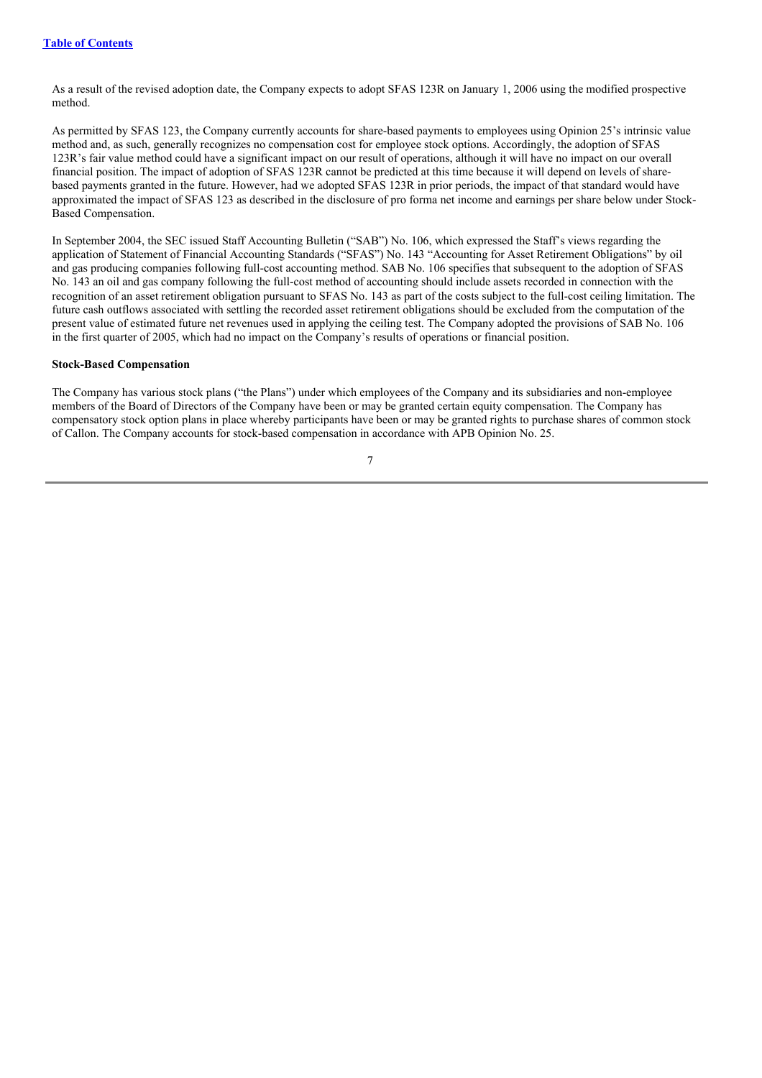As a result of the revised adoption date, the Company expects to adopt SFAS 123R on January 1, 2006 using the modified prospective method.

As permitted by SFAS 123, the Company currently accounts for share-based payments to employees using Opinion 25's intrinsic value method and, as such, generally recognizes no compensation cost for employee stock options. Accordingly, the adoption of SFAS 123R's fair value method could have a significant impact on our result of operations, although it will have no impact on our overall financial position. The impact of adoption of SFAS 123R cannot be predicted at this time because it will depend on levels of sharebased payments granted in the future. However, had we adopted SFAS 123R in prior periods, the impact of that standard would have approximated the impact of SFAS 123 as described in the disclosure of pro forma net income and earnings per share below under Stock-Based Compensation.

In September 2004, the SEC issued Staff Accounting Bulletin ("SAB") No. 106, which expressed the Staff's views regarding the application of Statement of Financial Accounting Standards ("SFAS") No. 143 "Accounting for Asset Retirement Obligations" by oil and gas producing companies following full-cost accounting method. SAB No. 106 specifies that subsequent to the adoption of SFAS No. 143 an oil and gas company following the full-cost method of accounting should include assets recorded in connection with the recognition of an asset retirement obligation pursuant to SFAS No. 143 as part of the costs subject to the full-cost ceiling limitation. The future cash outflows associated with settling the recorded asset retirement obligations should be excluded from the computation of the present value of estimated future net revenues used in applying the ceiling test. The Company adopted the provisions of SAB No. 106 in the first quarter of 2005, which had no impact on the Company's results of operations or financial position.

#### **Stock-Based Compensation**

The Company has various stock plans ("the Plans") under which employees of the Company and its subsidiaries and non-employee members of the Board of Directors of the Company have been or may be granted certain equity compensation. The Company has compensatory stock option plans in place whereby participants have been or may be granted rights to purchase shares of common stock of Callon. The Company accounts for stock-based compensation in accordance with APB Opinion No. 25.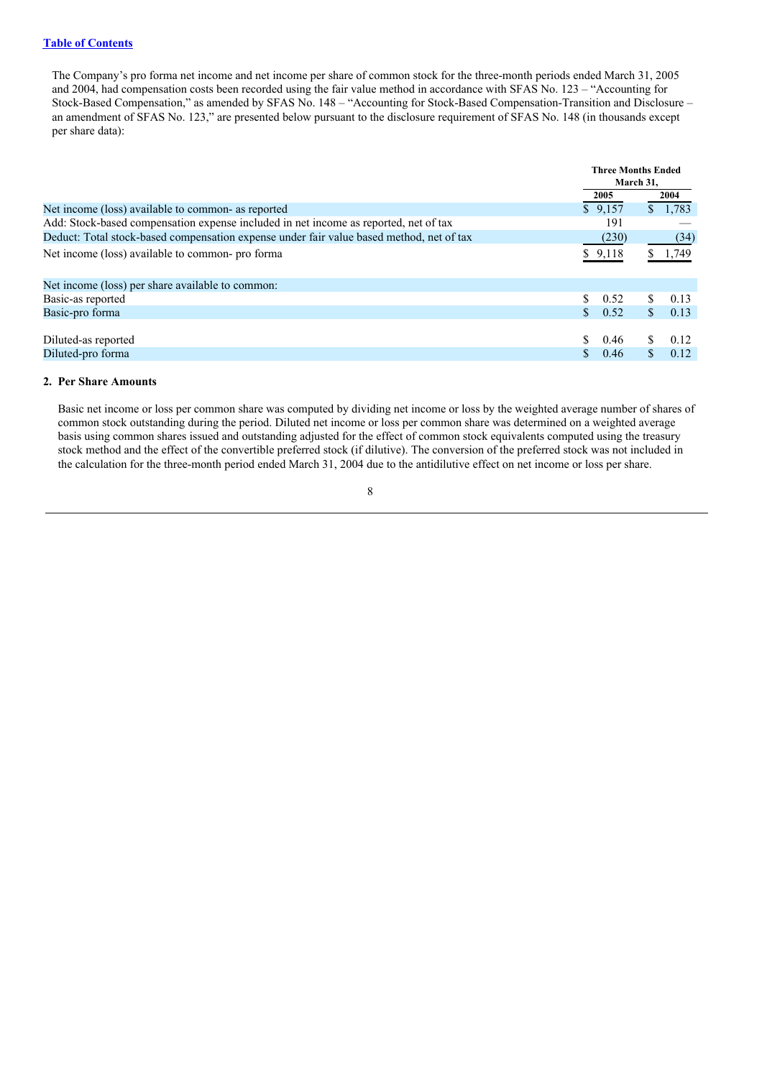The Company's pro forma net income and net income per share of common stock for the three-month periods ended March 31, 2005 and 2004, had compensation costs been recorded using the fair value method in accordance with SFAS No. 123 – "Accounting for Stock-Based Compensation," as amended by SFAS No. 148 – "Accounting for Stock-Based Compensation-Transition and Disclosure – an amendment of SFAS No. 123," are presented below pursuant to the disclosure requirement of SFAS No. 148 (in thousands except per share data):

|                                                                                          | <b>Three Months Ended</b><br>March 31, |         |     |         |
|------------------------------------------------------------------------------------------|----------------------------------------|---------|-----|---------|
|                                                                                          |                                        | 2005    |     | 2004    |
| Net income (loss) available to common- as reported                                       |                                        | \$9,157 |     | \$1,783 |
| Add: Stock-based compensation expense included in net income as reported, net of tax     |                                        | 191     |     |         |
| Deduct: Total stock-based compensation expense under fair value based method, net of tax |                                        | (230)   |     | (34)    |
| Net income (loss) available to common- pro forma                                         |                                        | \$9,118 |     | 1,749   |
| Net income (loss) per share available to common:                                         |                                        |         |     |         |
| Basic-as reported                                                                        |                                        | 0.52    | \$. | 0.13    |
| Basic-pro forma                                                                          |                                        | 0.52    | S.  | 0.13    |
|                                                                                          |                                        |         |     |         |
| Diluted-as reported                                                                      |                                        | 0.46    |     | 0.12    |
| Diluted-pro forma                                                                        |                                        | 0.46    |     | 0.12    |

#### **2. Per Share Amounts**

Basic net income or loss per common share was computed by dividing net income or loss by the weighted average number of shares of common stock outstanding during the period. Diluted net income or loss per common share was determined on a weighted average basis using common shares issued and outstanding adjusted for the effect of common stock equivalents computed using the treasury stock method and the effect of the convertible preferred stock (if dilutive). The conversion of the preferred stock was not included in the calculation for the three-month period ended March 31, 2004 due to the antidilutive effect on net income or loss per share.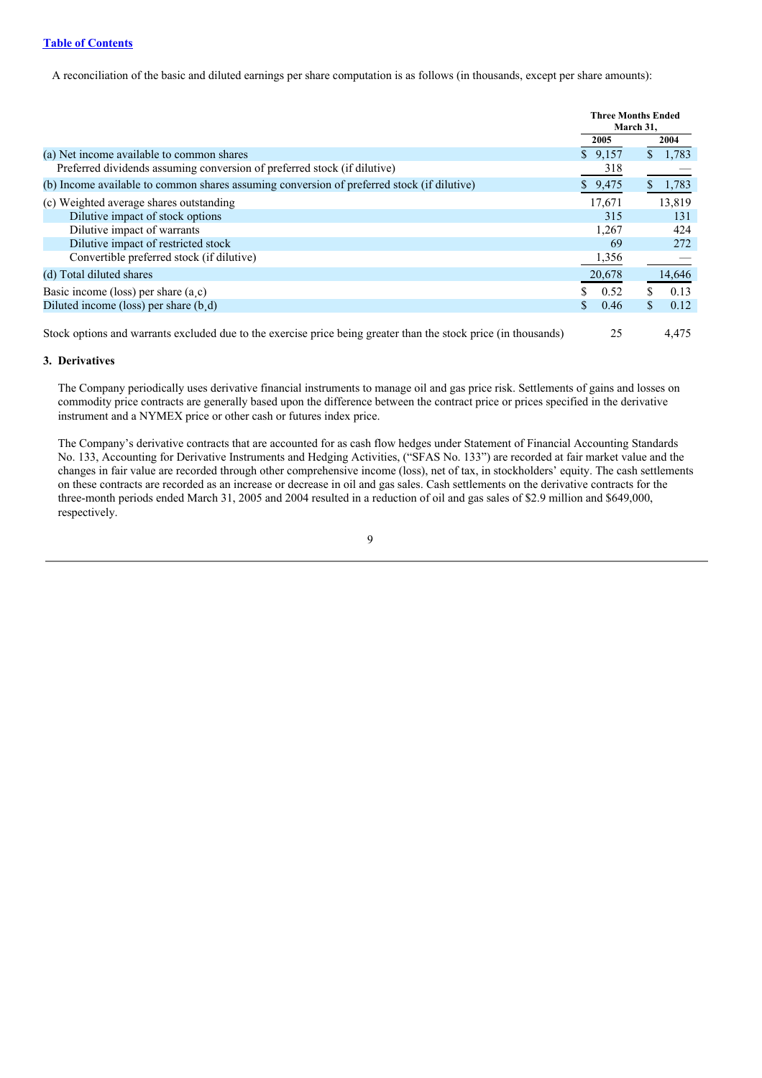A reconciliation of the basic and diluted earnings per share computation is as follows (in thousands, except per share amounts):

|                                                                                                                 | <b>Three Months Ended</b><br>March 31, |         |    |        |
|-----------------------------------------------------------------------------------------------------------------|----------------------------------------|---------|----|--------|
|                                                                                                                 |                                        | 2005    |    | 2004   |
| (a) Net income available to common shares                                                                       |                                        | \$9,157 | S. | 1,783  |
| Preferred dividends assuming conversion of preferred stock (if dilutive)                                        |                                        | 318     |    |        |
| (b) Income available to common shares assuming conversion of preferred stock (if dilutive)                      |                                        | \$9,475 |    | 1,783  |
| (c) Weighted average shares outstanding                                                                         |                                        | 17.671  |    | 13,819 |
| Dilutive impact of stock options                                                                                |                                        | 315     |    | 131    |
| Dilutive impact of warrants                                                                                     |                                        | 1,267   |    | 424    |
| Dilutive impact of restricted stock                                                                             |                                        | 69      |    | 272    |
| Convertible preferred stock (if dilutive)                                                                       |                                        | 1,356   |    |        |
| (d) Total diluted shares                                                                                        |                                        | 20,678  |    | 14,646 |
| Basic income (loss) per share $(a, c)$                                                                          |                                        | 0.52    |    | 0.13   |
| Diluted income (loss) per share $(b,d)$                                                                         |                                        | 0.46    | S. | 0.12   |
| Stock options and warrants excluded due to the exercise price being greater than the stock price (in thousands) |                                        | 25      |    | 4,475  |

#### **3. Derivatives**

The Company periodically uses derivative financial instruments to manage oil and gas price risk. Settlements of gains and losses on commodity price contracts are generally based upon the difference between the contract price or prices specified in the derivative instrument and a NYMEX price or other cash or futures index price.

The Company's derivative contracts that are accounted for as cash flow hedges under Statement of Financial Accounting Standards No. 133, Accounting for Derivative Instruments and Hedging Activities, ("SFAS No. 133") are recorded at fair market value and the changes in fair value are recorded through other comprehensive income (loss), net of tax, in stockholders' equity. The cash settlements on these contracts are recorded as an increase or decrease in oil and gas sales. Cash settlements on the derivative contracts for the three-month periods ended March 31, 2005 and 2004 resulted in a reduction of oil and gas sales of \$2.9 million and \$649,000, respectively.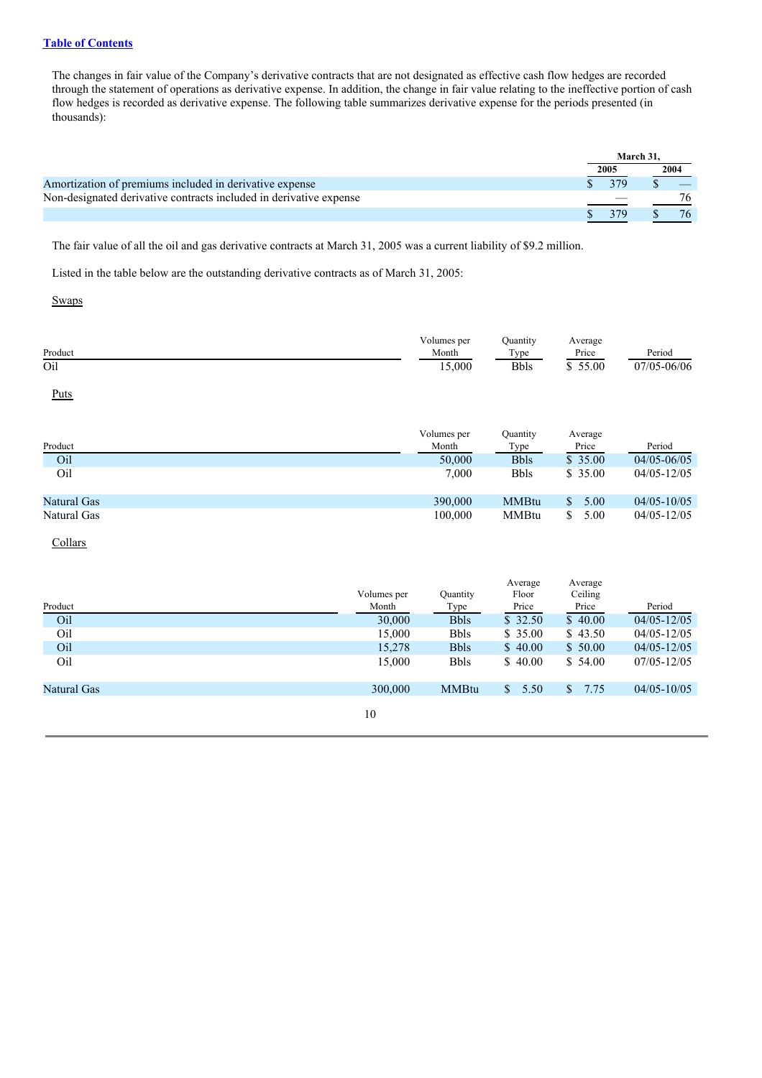The changes in fair value of the Company's derivative contracts that are not designated as effective cash flow hedges are recorded through the statement of operations as derivative expense. In addition, the change in fair value relating to the ineffective portion of cash flow hedges is recorded as derivative expense. The following table summarizes derivative expense for the periods presented (in thousands):

|                                                                    |      | March 31. |      |  |
|--------------------------------------------------------------------|------|-----------|------|--|
|                                                                    | 2005 |           | 2004 |  |
| Amortization of premiums included in derivative expense            | 379  |           |      |  |
| Non-designated derivative contracts included in derivative expense |      |           | 76   |  |
|                                                                    |      | 379       | 76   |  |

The fair value of all the oil and gas derivative contracts at March 31, 2005 was a current liability of \$9.2 million.

Listed in the table below are the outstanding derivative contracts as of March 31, 2005:

Swaps

| Product | Volumes per<br>Month | Ouantity<br>$T_{VDE}$ | Average<br>Price  | Period      |
|---------|----------------------|-----------------------|-------------------|-------------|
| Oil     | 15,000               | <b>Bbls</b>           | 55.00<br><u>ጥ</u> | 07/05-06/06 |

**Puts** 

| Product         | Volumes per<br>Month | Ouantity<br>Type | Average<br>Price | Period          |
|-----------------|----------------------|------------------|------------------|-----------------|
| O <sub>il</sub> | 50,000               | <b>Bbls</b>      | \$35.00          | $04/05 - 06/05$ |
| Oil             | 7.000                | <b>Bbls</b>      | \$35.00          | $04/05 - 12/05$ |
| Natural Gas     | 390,000              | <b>MMBtu</b>     | S.<br>5.00       | $04/05 - 10/05$ |
| Natural Gas     | 100,000              | <b>MMBtu</b>     | S<br>5.00        | $04/05 - 12/05$ |

Collars

|             | Volumes per | Quantity     | Average<br>Floor | Average<br>Ceiling |                 |
|-------------|-------------|--------------|------------------|--------------------|-----------------|
| Product     | Month       | Type         | Price            | Price              | Period          |
| Oil         | 30,000      | <b>Bbls</b>  | \$32.50          | \$40.00            | $04/05 - 12/05$ |
| Oil         | 15,000      | <b>Bbls</b>  | \$35.00          | \$43.50            | $04/05 - 12/05$ |
| Oil         | 15,278      | <b>Bbls</b>  | \$40.00          | \$50.00            | $04/05 - 12/05$ |
| Oil         | 15,000      | <b>Bbls</b>  | \$40.00          | \$54.00            | $07/05 - 12/05$ |
| Natural Gas | 300,000     | <b>MMBtu</b> | 5.50<br>S.       | 7.75<br>S.         | $04/05 - 10/05$ |
|             | 10          |              |                  |                    |                 |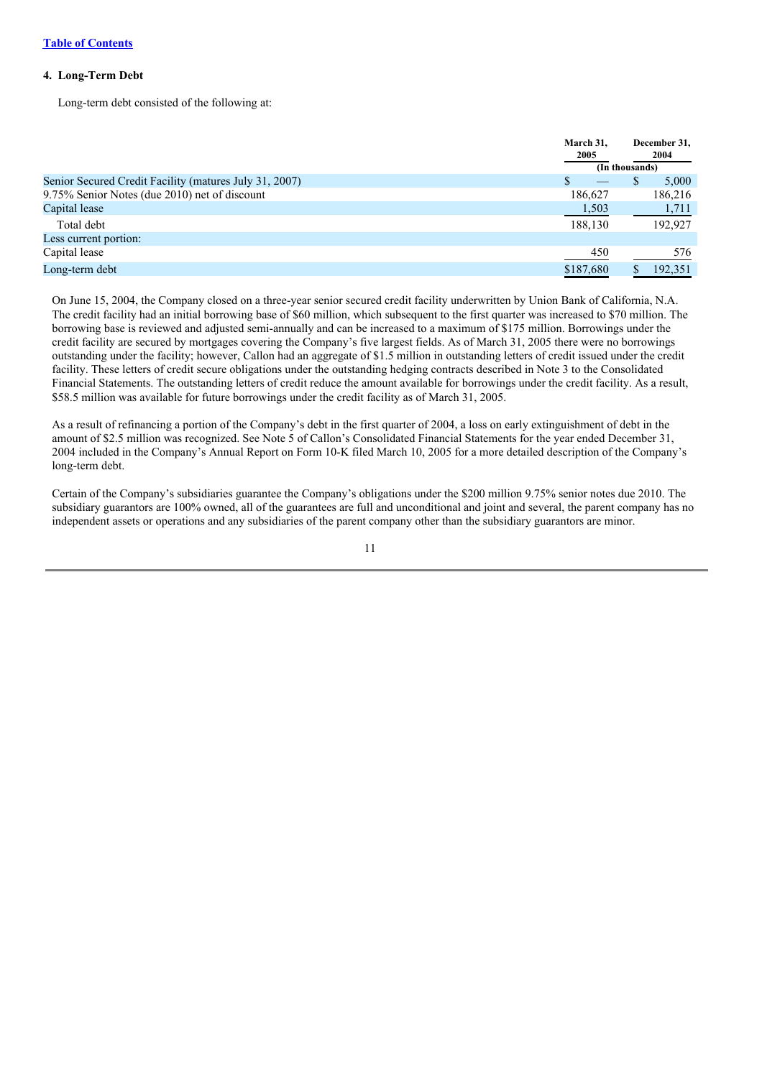#### **4. Long-Term Debt**

Long-term debt consisted of the following at:

|                                                        | March 31,<br>2005 | December 31,<br>2004<br>(In thousands) |
|--------------------------------------------------------|-------------------|----------------------------------------|
| Senior Secured Credit Facility (matures July 31, 2007) | __                | 5,000<br>S.                            |
| 9.75% Senior Notes (due 2010) net of discount          | 186,627           | 186.216                                |
| Capital lease                                          | 1,503             | 1,711                                  |
| Total debt                                             | 188,130           | 192,927                                |
| Less current portion:                                  |                   |                                        |
| Capital lease                                          | 450               | 576                                    |
| Long-term debt                                         | \$187,680         | 192,351                                |

On June 15, 2004, the Company closed on a three-year senior secured credit facility underwritten by Union Bank of California, N.A. The credit facility had an initial borrowing base of \$60 million, which subsequent to the first quarter was increased to \$70 million. The borrowing base is reviewed and adjusted semi-annually and can be increased to a maximum of \$175 million. Borrowings under the credit facility are secured by mortgages covering the Company's five largest fields. As of March 31, 2005 there were no borrowings outstanding under the facility; however, Callon had an aggregate of \$1.5 million in outstanding letters of credit issued under the credit facility. These letters of credit secure obligations under the outstanding hedging contracts described in Note 3 to the Consolidated Financial Statements. The outstanding letters of credit reduce the amount available for borrowings under the credit facility. As a result, \$58.5 million was available for future borrowings under the credit facility as of March 31, 2005.

As a result of refinancing a portion of the Company's debt in the first quarter of 2004, a loss on early extinguishment of debt in the amount of \$2.5 million was recognized. See Note 5 of Callon's Consolidated Financial Statements for the year ended December 31, 2004 included in the Company's Annual Report on Form 10-K filed March 10, 2005 for a more detailed description of the Company's long-term debt.

Certain of the Company's subsidiaries guarantee the Company's obligations under the \$200 million 9.75% senior notes due 2010. The subsidiary guarantors are 100% owned, all of the guarantees are full and unconditional and joint and several, the parent company has no independent assets or operations and any subsidiaries of the parent company other than the subsidiary guarantors are minor.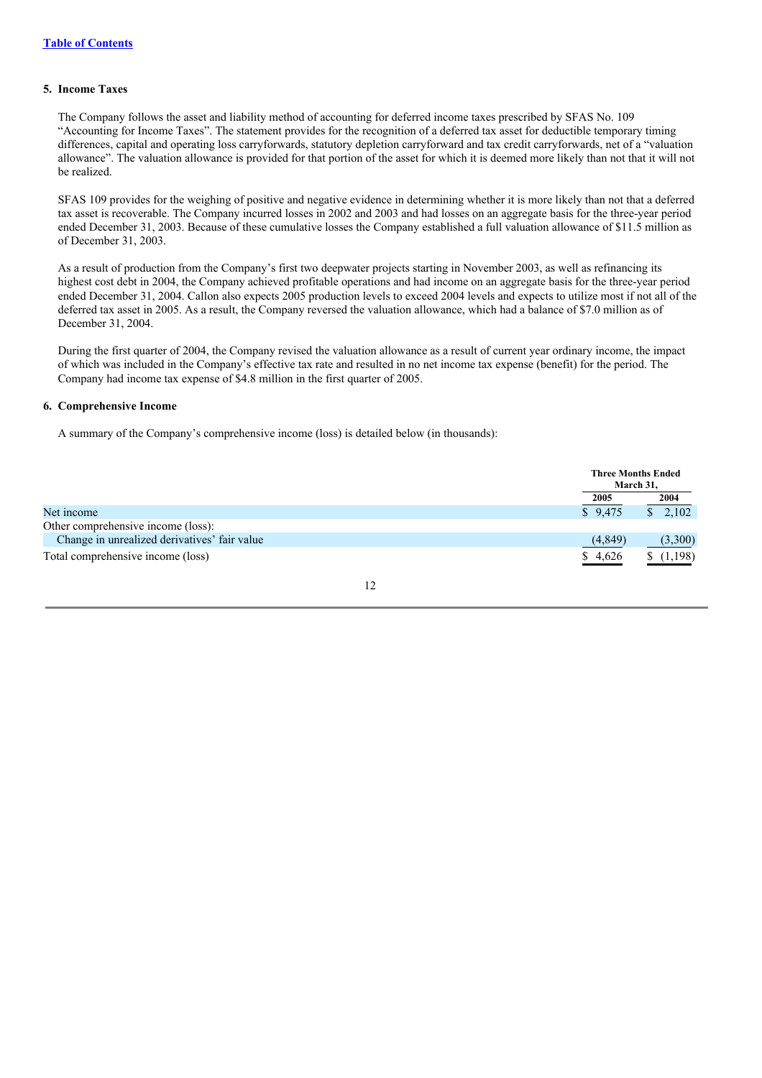#### **5. Income Taxes**

The Company follows the asset and liability method of accounting for deferred income taxes prescribed by SFAS No. 109 "Accounting for Income Taxes". The statement provides for the recognition of a deferred tax asset for deductible temporary timing differences, capital and operating loss carryforwards, statutory depletion carryforward and tax credit carryforwards, net of a "valuation allowance". The valuation allowance is provided for that portion of the asset for which it is deemed more likely than not that it will not be realized.

SFAS 109 provides for the weighing of positive and negative evidence in determining whether it is more likely than not that a deferred tax asset is recoverable. The Company incurred losses in 2002 and 2003 and had losses on an aggregate basis for the three-year period ended December 31, 2003. Because of these cumulative losses the Company established a full valuation allowance of \$11.5 million as of December 31, 2003.

As a result of production from the Company's first two deepwater projects starting in November 2003, as well as refinancing its highest cost debt in 2004, the Company achieved profitable operations and had income on an aggregate basis for the three-year period ended December 31, 2004. Callon also expects 2005 production levels to exceed 2004 levels and expects to utilize most if not all of the deferred tax asset in 2005. As a result, the Company reversed the valuation allowance, which had a balance of \$7.0 million as of December 31, 2004.

During the first quarter of 2004, the Company revised the valuation allowance as a result of current year ordinary income, the impact of which was included in the Company's effective tax rate and resulted in no net income tax expense (benefit) for the period. The Company had income tax expense of \$4.8 million in the first quarter of 2005.

#### **6. Comprehensive Income**

A summary of the Company's comprehensive income (loss) is detailed below (in thousands):

|                                              | <b>Three Months Ended</b><br>March 31, |         |
|----------------------------------------------|----------------------------------------|---------|
|                                              | 2005                                   | 2004    |
| Net income                                   | \$9,475                                | \$2,102 |
| Other comprehensive income (loss):           |                                        |         |
| Change in unrealized derivatives' fair value | (4,849)                                | (3,300) |
| Total comprehensive income (loss)            | \$4,626                                | (1,198) |
|                                              |                                        |         |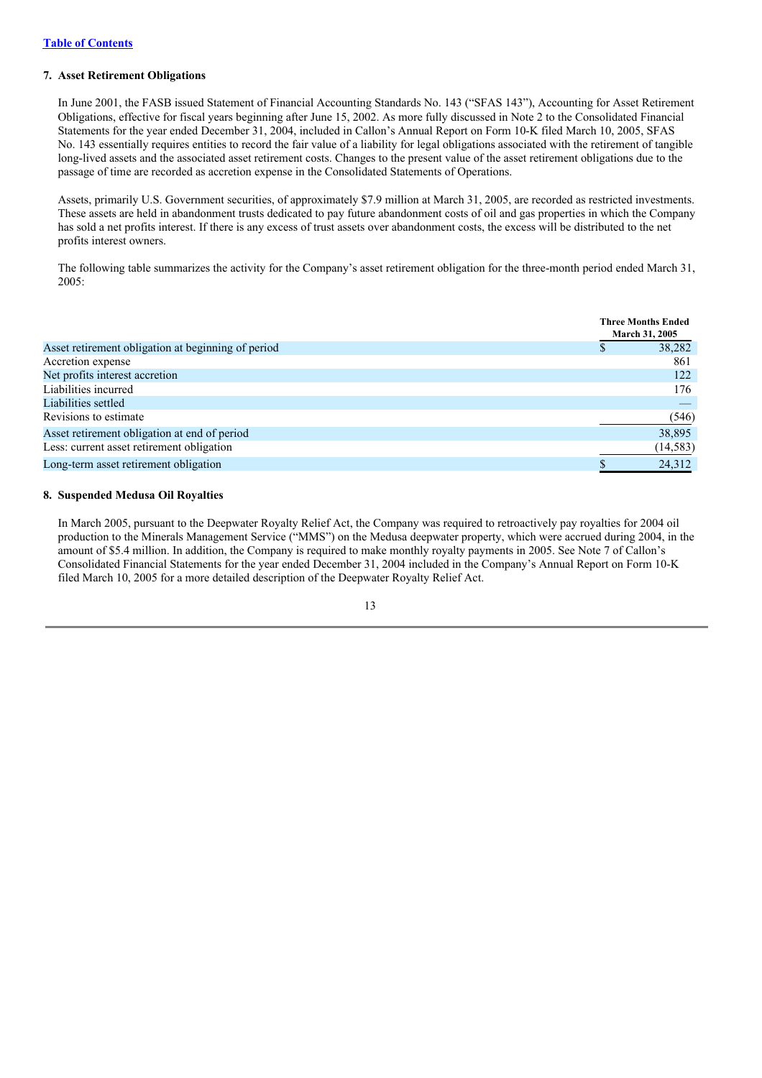## **7. Asset Retirement Obligations**

In June 2001, the FASB issued Statement of Financial Accounting Standards No. 143 ("SFAS 143"), Accounting for Asset Retirement Obligations, effective for fiscal years beginning after June 15, 2002. As more fully discussed in Note 2 to the Consolidated Financial Statements for the year ended December 31, 2004, included in Callon's Annual Report on Form 10-K filed March 10, 2005, SFAS No. 143 essentially requires entities to record the fair value of a liability for legal obligations associated with the retirement of tangible long-lived assets and the associated asset retirement costs. Changes to the present value of the asset retirement obligations due to the passage of time are recorded as accretion expense in the Consolidated Statements of Operations.

Assets, primarily U.S. Government securities, of approximately \$7.9 million at March 31, 2005, are recorded as restricted investments. These assets are held in abandonment trusts dedicated to pay future abandonment costs of oil and gas properties in which the Company has sold a net profits interest. If there is any excess of trust assets over abandonment costs, the excess will be distributed to the net profits interest owners.

The following table summarizes the activity for the Company's asset retirement obligation for the three-month period ended March 31, 2005:

|                                                    | <b>Three Months Ended</b><br>March 31, 2005 |  |
|----------------------------------------------------|---------------------------------------------|--|
| Asset retirement obligation at beginning of period | 38,282                                      |  |
| Accretion expense                                  | 861                                         |  |
| Net profits interest accretion                     | 122                                         |  |
| Liabilities incurred                               | 176                                         |  |
| Liabilities settled                                |                                             |  |
| Revisions to estimate                              | (546)                                       |  |
| Asset retirement obligation at end of period       | 38,895                                      |  |
| Less: current asset retirement obligation          | (14, 583)                                   |  |
| Long-term asset retirement obligation              | 24,312                                      |  |

#### **8. Suspended Medusa Oil Royalties**

In March 2005, pursuant to the Deepwater Royalty Relief Act, the Company was required to retroactively pay royalties for 2004 oil production to the Minerals Management Service ("MMS") on the Medusa deepwater property, which were accrued during 2004, in the amount of \$5.4 million. In addition, the Company is required to make monthly royalty payments in 2005. See Note 7 of Callon's Consolidated Financial Statements for the year ended December 31, 2004 included in the Company's Annual Report on Form 10-K filed March 10, 2005 for a more detailed description of the Deepwater Royalty Relief Act.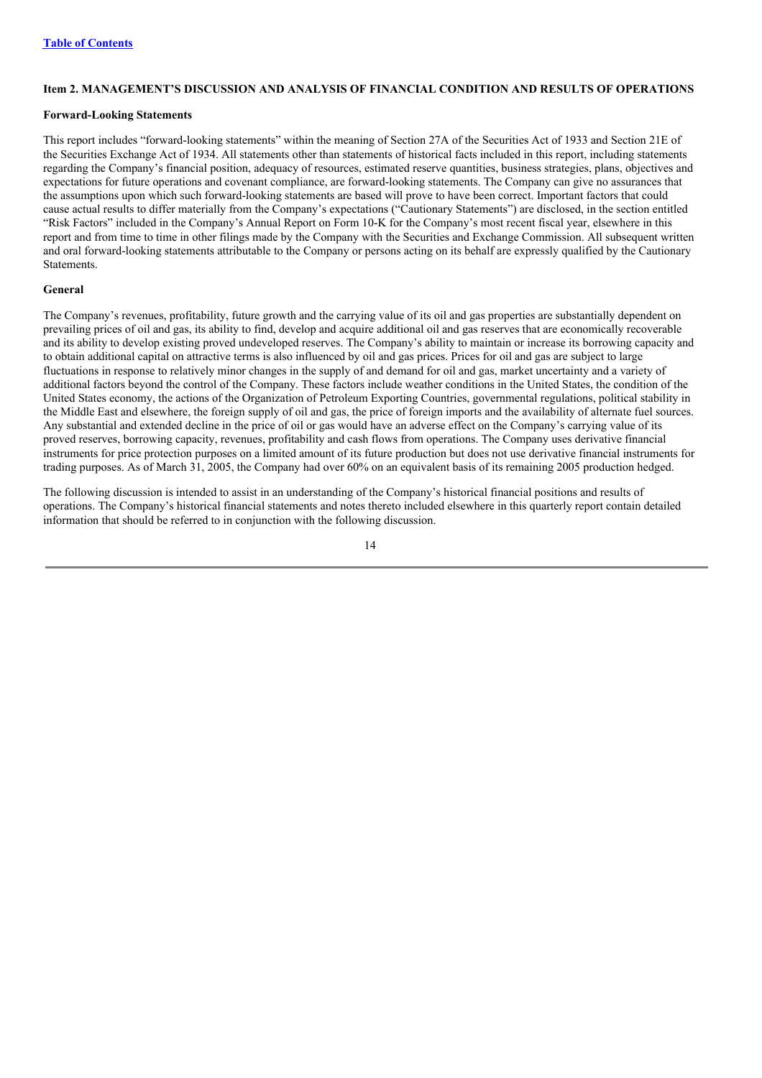#### **Item 2. MANAGEMENT'S DISCUSSION AND ANALYSIS OF FINANCIAL CONDITION AND RESULTS OF OPERATIONS**

#### **Forward-Looking Statements**

This report includes "forward-looking statements" within the meaning of Section 27A of the Securities Act of 1933 and Section 21E of the Securities Exchange Act of 1934. All statements other than statements of historical facts included in this report, including statements regarding the Company's financial position, adequacy of resources, estimated reserve quantities, business strategies, plans, objectives and expectations for future operations and covenant compliance, are forward-looking statements. The Company can give no assurances that the assumptions upon which such forward-looking statements are based will prove to have been correct. Important factors that could cause actual results to differ materially from the Company's expectations ("Cautionary Statements") are disclosed, in the section entitled "Risk Factors" included in the Company's Annual Report on Form 10-K for the Company's most recent fiscal year, elsewhere in this report and from time to time in other filings made by the Company with the Securities and Exchange Commission. All subsequent written and oral forward-looking statements attributable to the Company or persons acting on its behalf are expressly qualified by the Cautionary **Statements** 

#### **General**

The Company's revenues, profitability, future growth and the carrying value of its oil and gas properties are substantially dependent on prevailing prices of oil and gas, its ability to find, develop and acquire additional oil and gas reserves that are economically recoverable and its ability to develop existing proved undeveloped reserves. The Company's ability to maintain or increase its borrowing capacity and to obtain additional capital on attractive terms is also influenced by oil and gas prices. Prices for oil and gas are subject to large fluctuations in response to relatively minor changes in the supply of and demand for oil and gas, market uncertainty and a variety of additional factors beyond the control of the Company. These factors include weather conditions in the United States, the condition of the United States economy, the actions of the Organization of Petroleum Exporting Countries, governmental regulations, political stability in the Middle East and elsewhere, the foreign supply of oil and gas, the price of foreign imports and the availability of alternate fuel sources. Any substantial and extended decline in the price of oil or gas would have an adverse effect on the Company's carrying value of its proved reserves, borrowing capacity, revenues, profitability and cash flows from operations. The Company uses derivative financial instruments for price protection purposes on a limited amount of its future production but does not use derivative financial instruments for trading purposes. As of March 31, 2005, the Company had over 60% on an equivalent basis of its remaining 2005 production hedged.

The following discussion is intended to assist in an understanding of the Company's historical financial positions and results of operations. The Company's historical financial statements and notes thereto included elsewhere in this quarterly report contain detailed information that should be referred to in conjunction with the following discussion.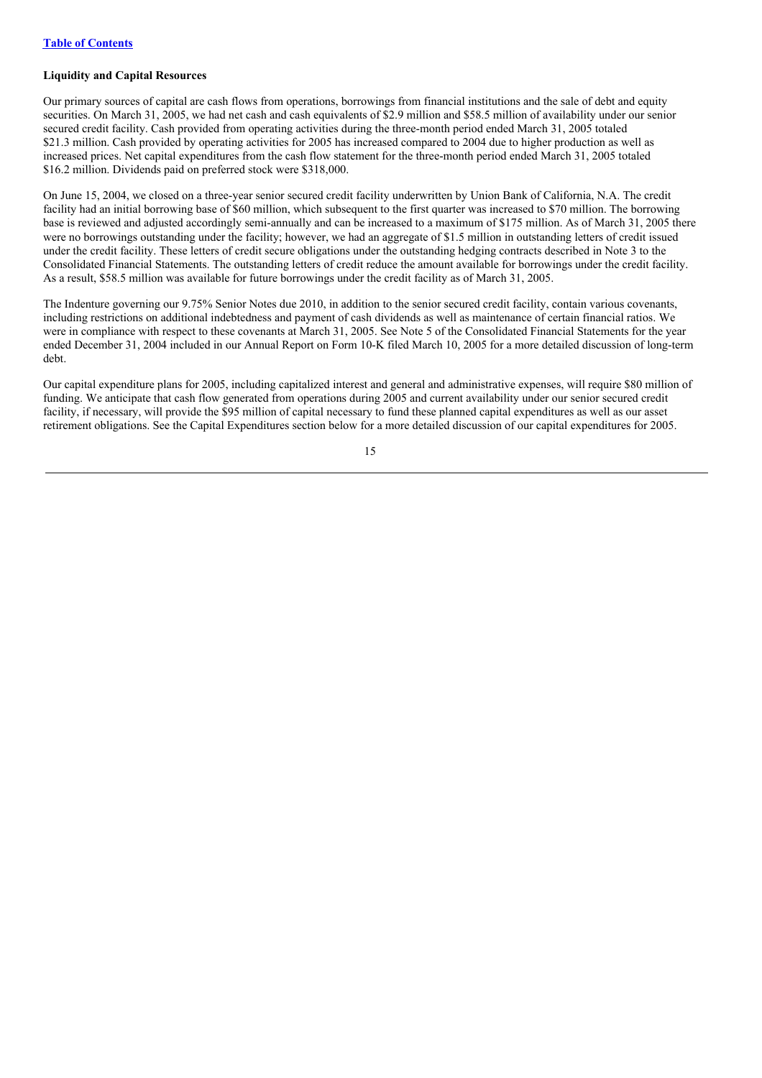#### **Liquidity and Capital Resources**

Our primary sources of capital are cash flows from operations, borrowings from financial institutions and the sale of debt and equity securities. On March 31, 2005, we had net cash and cash equivalents of \$2.9 million and \$58.5 million of availability under our senior secured credit facility. Cash provided from operating activities during the three-month period ended March 31, 2005 totaled \$21.3 million. Cash provided by operating activities for 2005 has increased compared to 2004 due to higher production as well as increased prices. Net capital expenditures from the cash flow statement for the three-month period ended March 31, 2005 totaled \$16.2 million. Dividends paid on preferred stock were \$318,000.

On June 15, 2004, we closed on a three-year senior secured credit facility underwritten by Union Bank of California, N.A. The credit facility had an initial borrowing base of \$60 million, which subsequent to the first quarter was increased to \$70 million. The borrowing base is reviewed and adjusted accordingly semi-annually and can be increased to a maximum of \$175 million. As of March 31, 2005 there were no borrowings outstanding under the facility; however, we had an aggregate of \$1.5 million in outstanding letters of credit issued under the credit facility. These letters of credit secure obligations under the outstanding hedging contracts described in Note 3 to the Consolidated Financial Statements. The outstanding letters of credit reduce the amount available for borrowings under the credit facility. As a result, \$58.5 million was available for future borrowings under the credit facility as of March 31, 2005.

The Indenture governing our 9.75% Senior Notes due 2010, in addition to the senior secured credit facility, contain various covenants, including restrictions on additional indebtedness and payment of cash dividends as well as maintenance of certain financial ratios. We were in compliance with respect to these covenants at March 31, 2005. See Note 5 of the Consolidated Financial Statements for the year ended December 31, 2004 included in our Annual Report on Form 10-K filed March 10, 2005 for a more detailed discussion of long-term debt.

Our capital expenditure plans for 2005, including capitalized interest and general and administrative expenses, will require \$80 million of funding. We anticipate that cash flow generated from operations during 2005 and current availability under our senior secured credit facility, if necessary, will provide the \$95 million of capital necessary to fund these planned capital expenditures as well as our asset retirement obligations. See the Capital Expenditures section below for a more detailed discussion of our capital expenditures for 2005.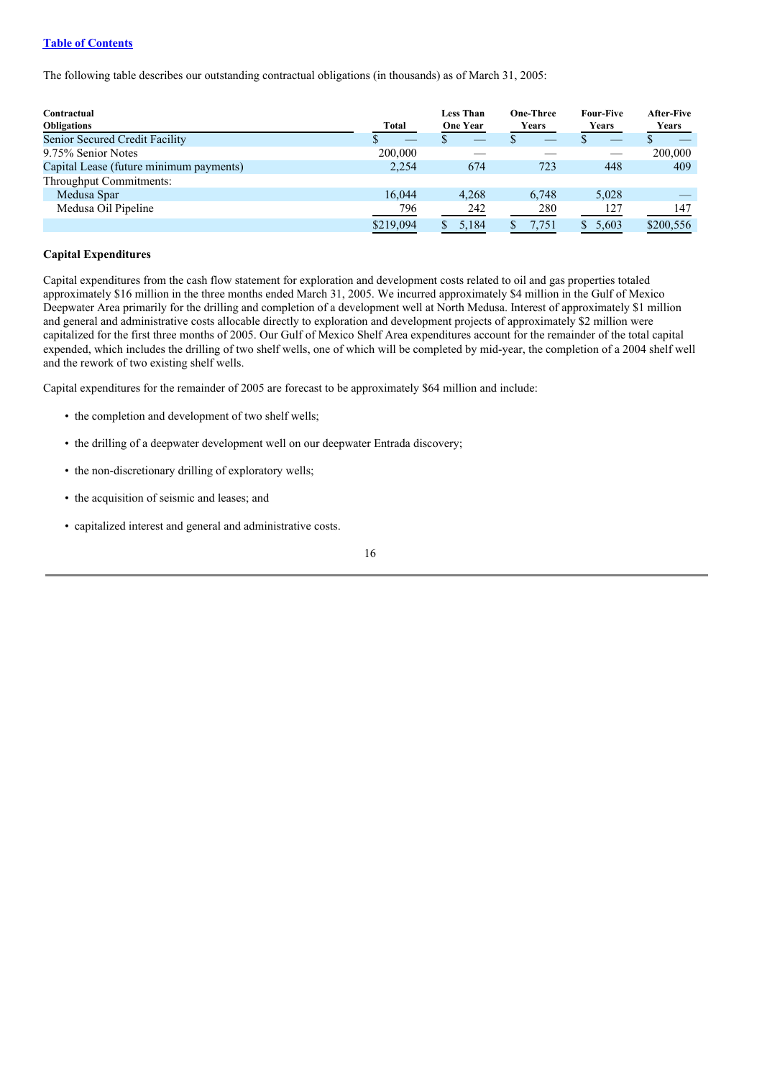The following table describes our outstanding contractual obligations (in thousands) as of March 31, 2005:

| Contractual<br><b>Obligations</b>       | Total     | <b>Less Than</b><br><b>One Year</b> | <b>One-Three</b><br>Years | <b>Four-Five</b><br>Years | <b>After-Five</b><br>Years |
|-----------------------------------------|-----------|-------------------------------------|---------------------------|---------------------------|----------------------------|
| Senior Secured Credit Facility          | __        |                                     |                           |                           |                            |
| 9.75% Senior Notes                      | 200,000   |                                     |                           |                           | 200,000                    |
| Capital Lease (future minimum payments) | 2.254     | 674                                 | 723                       | 448                       | 409                        |
| Throughput Commitments:                 |           |                                     |                           |                           |                            |
| Medusa Spar                             | 16.044    | 4.268                               | 6,748                     | 5,028                     |                            |
| Medusa Oil Pipeline                     | 796       | 242                                 | 280                       | 127                       | 147                        |
|                                         | \$219,094 | 5.184                               | 7.751                     | \$5,603                   | \$200,556                  |

#### **Capital Expenditures**

Capital expenditures from the cash flow statement for exploration and development costs related to oil and gas properties totaled approximately \$16 million in the three months ended March 31, 2005. We incurred approximately \$4 million in the Gulf of Mexico Deepwater Area primarily for the drilling and completion of a development well at North Medusa. Interest of approximately \$1 million and general and administrative costs allocable directly to exploration and development projects of approximately \$2 million were capitalized for the first three months of 2005. Our Gulf of Mexico Shelf Area expenditures account for the remainder of the total capital expended, which includes the drilling of two shelf wells, one of which will be completed by mid-year, the completion of a 2004 shelf well and the rework of two existing shelf wells.

Capital expenditures for the remainder of 2005 are forecast to be approximately \$64 million and include:

- the completion and development of two shelf wells;
- the drilling of a deepwater development well on our deepwater Entrada discovery;
- the non-discretionary drilling of exploratory wells;
- the acquisition of seismic and leases; and
- capitalized interest and general and administrative costs.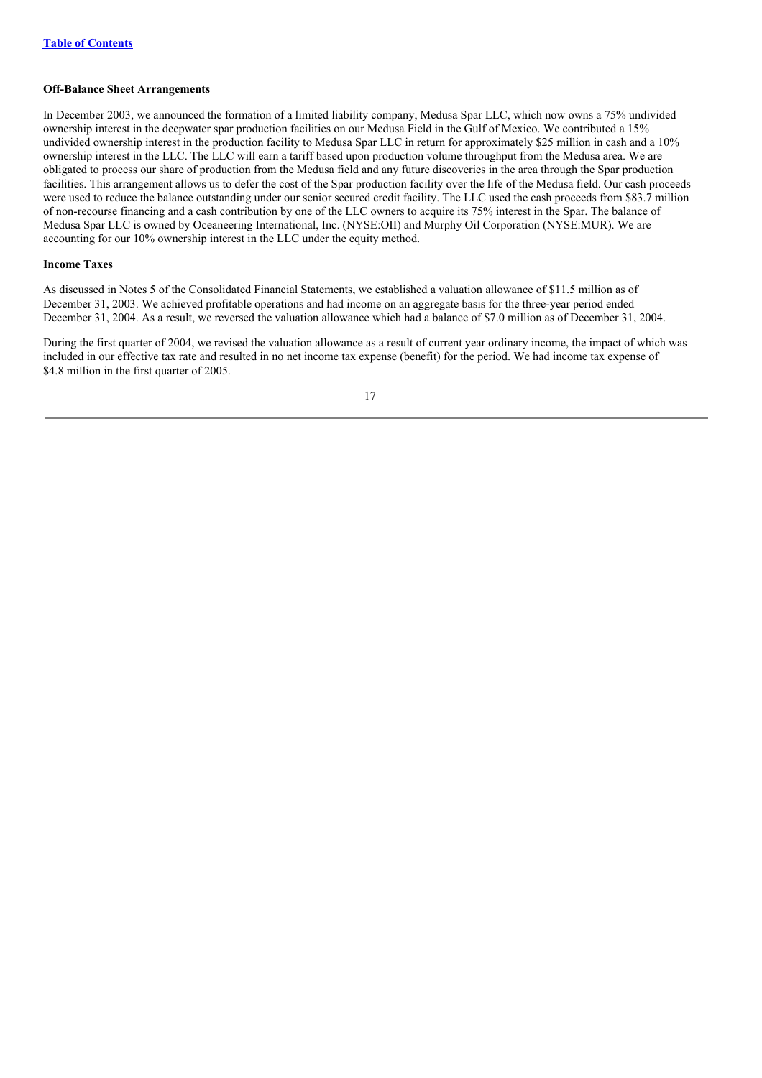#### **Off-Balance Sheet Arrangements**

In December 2003, we announced the formation of a limited liability company, Medusa Spar LLC, which now owns a 75% undivided ownership interest in the deepwater spar production facilities on our Medusa Field in the Gulf of Mexico. We contributed a 15% undivided ownership interest in the production facility to Medusa Spar LLC in return for approximately \$25 million in cash and a 10% ownership interest in the LLC. The LLC will earn a tariff based upon production volume throughput from the Medusa area. We are obligated to process our share of production from the Medusa field and any future discoveries in the area through the Spar production facilities. This arrangement allows us to defer the cost of the Spar production facility over the life of the Medusa field. Our cash proceeds were used to reduce the balance outstanding under our senior secured credit facility. The LLC used the cash proceeds from \$83.7 million of non-recourse financing and a cash contribution by one of the LLC owners to acquire its 75% interest in the Spar. The balance of Medusa Spar LLC is owned by Oceaneering International, Inc. (NYSE:OII) and Murphy Oil Corporation (NYSE:MUR). We are accounting for our 10% ownership interest in the LLC under the equity method.

#### **Income Taxes**

As discussed in Notes 5 of the Consolidated Financial Statements, we established a valuation allowance of \$11.5 million as of December 31, 2003. We achieved profitable operations and had income on an aggregate basis for the three-year period ended December 31, 2004. As a result, we reversed the valuation allowance which had a balance of \$7.0 million as of December 31, 2004.

During the first quarter of 2004, we revised the valuation allowance as a result of current year ordinary income, the impact of which was included in our effective tax rate and resulted in no net income tax expense (benefit) for the period. We had income tax expense of \$4.8 million in the first quarter of 2005.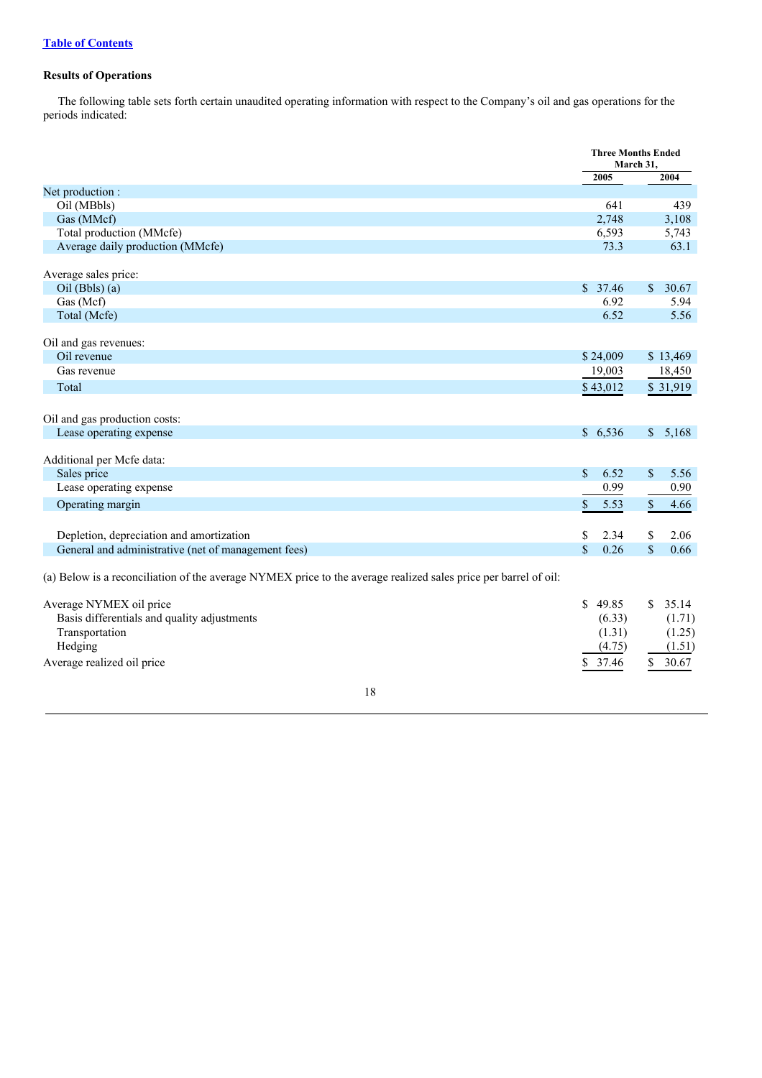## **Results of Operations**

The following table sets forth certain unaudited operating information with respect to the Company's oil and gas operations for the periods indicated:

|                                                                                                                 | <b>Three Months Ended</b><br>March 31, |                            |
|-----------------------------------------------------------------------------------------------------------------|----------------------------------------|----------------------------|
|                                                                                                                 | 2005                                   | 2004                       |
| Net production :                                                                                                |                                        |                            |
| Oil (MBbls)                                                                                                     | 641                                    | 439                        |
| Gas (MMcf)                                                                                                      | 2,748                                  | 3,108                      |
| Total production (MMcfe)                                                                                        | 6,593                                  | 5,743                      |
| Average daily production (MMcfe)                                                                                | 73.3                                   | 63.1                       |
| Average sales price:                                                                                            |                                        |                            |
| Oil (Bbls) (a)                                                                                                  | \$37.46                                | 30.67<br>\$                |
| Gas (Mcf)                                                                                                       | 6.92                                   | 5.94                       |
| Total (Mcfe)                                                                                                    | 6.52                                   | 5.56                       |
| Oil and gas revenues:                                                                                           |                                        |                            |
| Oil revenue                                                                                                     | \$24,009                               | \$13,469                   |
| Gas revenue                                                                                                     | 19,003                                 | 18,450                     |
| Total                                                                                                           | \$43,012                               | \$31,919                   |
|                                                                                                                 |                                        |                            |
| Oil and gas production costs:                                                                                   |                                        |                            |
| Lease operating expense                                                                                         | \$6,536                                | \$5,168                    |
| Additional per Mcfe data:                                                                                       |                                        |                            |
| Sales price                                                                                                     | 6.52<br>\$                             | \$<br>5.56                 |
| Lease operating expense                                                                                         | 0.99                                   | 0.90                       |
| Operating margin                                                                                                | \$<br>5.53                             | \$<br>4.66                 |
|                                                                                                                 |                                        |                            |
| Depletion, depreciation and amortization                                                                        | 2.34<br>\$                             | 2.06<br>\$                 |
| General and administrative (net of management fees)                                                             | $\mathbf{\hat{s}}$<br>0.26             | $\mathbf{\hat{S}}$<br>0.66 |
| (a) Below is a reconciliation of the average NYMEX price to the average realized sales price per barrel of oil: |                                        |                            |
| Average NYMEX oil price                                                                                         | \$49.85                                | \$<br>35.14                |
| Basis differentials and quality adjustments                                                                     | (6.33)                                 | (1.71)                     |
| Transportation                                                                                                  | (1.31)                                 | (1.25)                     |
| Hedging                                                                                                         | (4.75)                                 | (1.51)                     |
| Average realized oil price                                                                                      | \$<br>37.46                            | \$<br>30.67                |
| 18                                                                                                              |                                        |                            |
|                                                                                                                 |                                        |                            |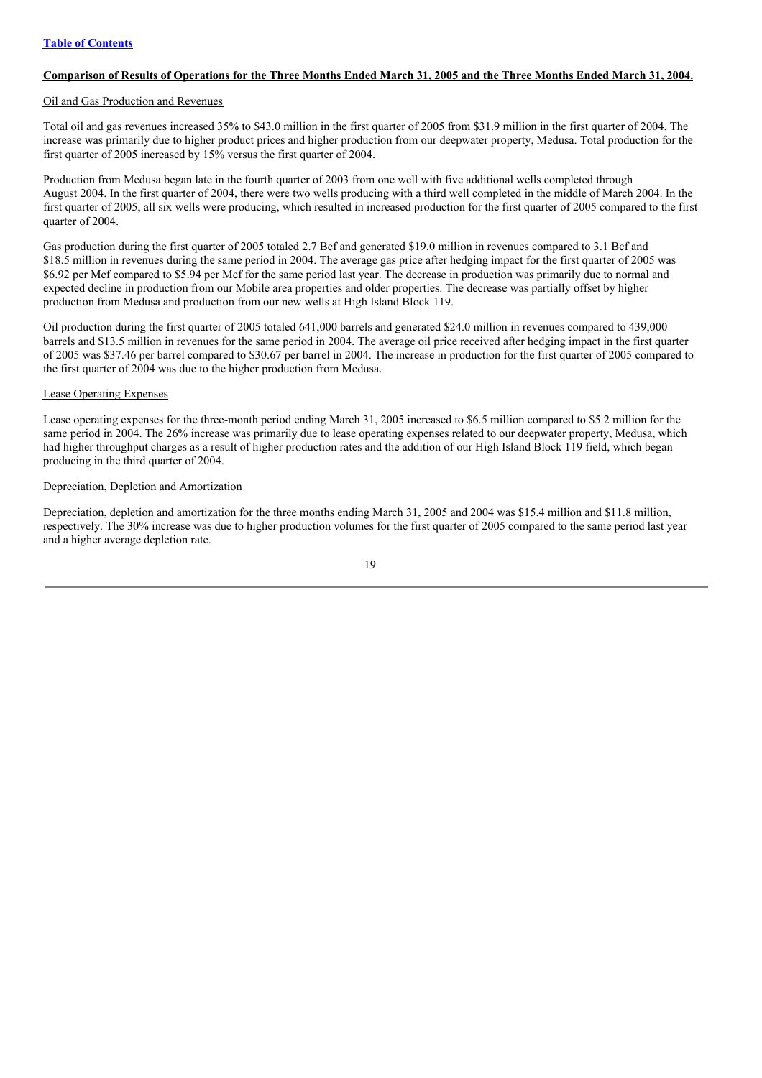## Comparison of Results of Operations for the Three Months Ended March 31, 2005 and the Three Months Ended March 31, 2004.

#### Oil and Gas Production and Revenues

Total oil and gas revenues increased 35% to \$43.0 million in the first quarter of 2005 from \$31.9 million in the first quarter of 2004. The increase was primarily due to higher product prices and higher production from our deepwater property, Medusa. Total production for the first quarter of 2005 increased by 15% versus the first quarter of 2004.

Production from Medusa began late in the fourth quarter of 2003 from one well with five additional wells completed through August 2004. In the first quarter of 2004, there were two wells producing with a third well completed in the middle of March 2004. In the first quarter of 2005, all six wells were producing, which resulted in increased production for the first quarter of 2005 compared to the first quarter of 2004.

Gas production during the first quarter of 2005 totaled 2.7 Bcf and generated \$19.0 million in revenues compared to 3.1 Bcf and \$18.5 million in revenues during the same period in 2004. The average gas price after hedging impact for the first quarter of 2005 was \$6.92 per Mcf compared to \$5.94 per Mcf for the same period last year. The decrease in production was primarily due to normal and expected decline in production from our Mobile area properties and older properties. The decrease was partially offset by higher production from Medusa and production from our new wells at High Island Block 119.

Oil production during the first quarter of 2005 totaled 641,000 barrels and generated \$24.0 million in revenues compared to 439,000 barrels and \$13.5 million in revenues for the same period in 2004. The average oil price received after hedging impact in the first quarter of 2005 was \$37.46 per barrel compared to \$30.67 per barrel in 2004. The increase in production for the first quarter of 2005 compared to the first quarter of 2004 was due to the higher production from Medusa.

#### Lease Operating Expenses

Lease operating expenses for the three-month period ending March 31, 2005 increased to \$6.5 million compared to \$5.2 million for the same period in 2004. The 26% increase was primarily due to lease operating expenses related to our deepwater property, Medusa, which had higher throughput charges as a result of higher production rates and the addition of our High Island Block 119 field, which began producing in the third quarter of 2004.

#### Depreciation, Depletion and Amortization

Depreciation, depletion and amortization for the three months ending March 31, 2005 and 2004 was \$15.4 million and \$11.8 million, respectively. The 30% increase was due to higher production volumes for the first quarter of 2005 compared to the same period last year and a higher average depletion rate.

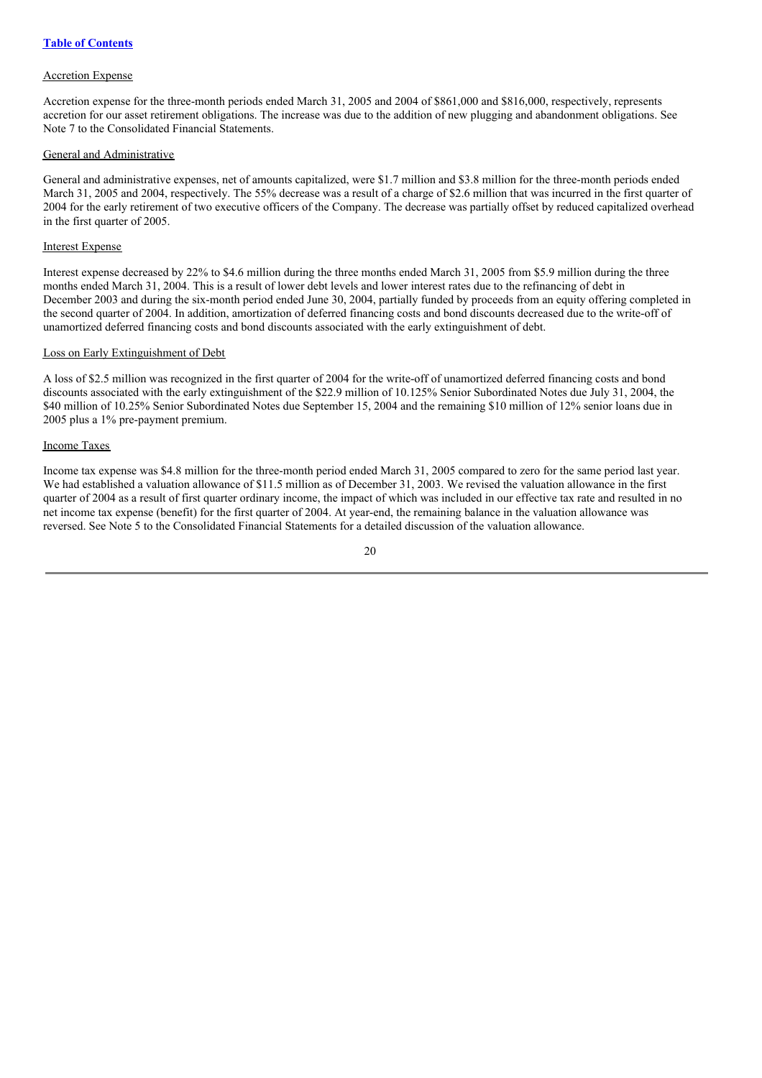#### Accretion Expense

Accretion expense for the three-month periods ended March 31, 2005 and 2004 of \$861,000 and \$816,000, respectively, represents accretion for our asset retirement obligations. The increase was due to the addition of new plugging and abandonment obligations. See Note 7 to the Consolidated Financial Statements.

#### General and Administrative

General and administrative expenses, net of amounts capitalized, were \$1.7 million and \$3.8 million for the three-month periods ended March 31, 2005 and 2004, respectively. The 55% decrease was a result of a charge of \$2.6 million that was incurred in the first quarter of 2004 for the early retirement of two executive officers of the Company. The decrease was partially offset by reduced capitalized overhead in the first quarter of 2005.

#### Interest Expense

Interest expense decreased by 22% to \$4.6 million during the three months ended March 31, 2005 from \$5.9 million during the three months ended March 31, 2004. This is a result of lower debt levels and lower interest rates due to the refinancing of debt in December 2003 and during the six-month period ended June 30, 2004, partially funded by proceeds from an equity offering completed in the second quarter of 2004. In addition, amortization of deferred financing costs and bond discounts decreased due to the write-off of unamortized deferred financing costs and bond discounts associated with the early extinguishment of debt.

#### Loss on Early Extinguishment of Debt

A loss of \$2.5 million was recognized in the first quarter of 2004 for the write-off of unamortized deferred financing costs and bond discounts associated with the early extinguishment of the \$22.9 million of 10.125% Senior Subordinated Notes due July 31, 2004, the \$40 million of 10.25% Senior Subordinated Notes due September 15, 2004 and the remaining \$10 million of 12% senior loans due in 2005 plus a 1% pre-payment premium.

#### Income Taxes

Income tax expense was \$4.8 million for the three-month period ended March 31, 2005 compared to zero for the same period last year. We had established a valuation allowance of \$11.5 million as of December 31, 2003. We revised the valuation allowance in the first quarter of 2004 as a result of first quarter ordinary income, the impact of which was included in our effective tax rate and resulted in no net income tax expense (benefit) for the first quarter of 2004. At year-end, the remaining balance in the valuation allowance was reversed. See Note 5 to the Consolidated Financial Statements for a detailed discussion of the valuation allowance.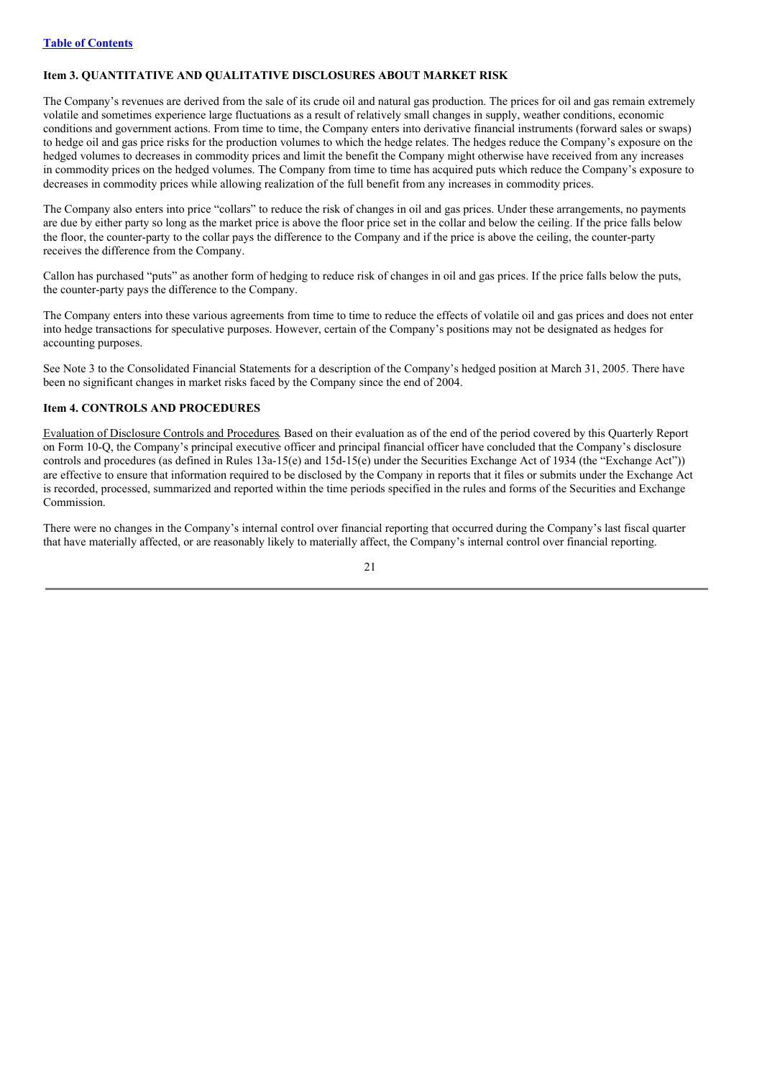#### **Item 3. QUANTITATIVE AND QUALITATIVE DISCLOSURES ABOUT MARKET RISK**

The Company's revenues are derived from the sale of its crude oil and natural gas production. The prices for oil and gas remain extremely volatile and sometimes experience large fluctuations as a result of relatively small changes in supply, weather conditions, economic conditions and government actions. From time to time, the Company enters into derivative financial instruments (forward sales or swaps) to hedge oil and gas price risks for the production volumes to which the hedge relates. The hedges reduce the Company's exposure on the hedged volumes to decreases in commodity prices and limit the benefit the Company might otherwise have received from any increases in commodity prices on the hedged volumes. The Company from time to time has acquired puts which reduce the Company's exposure to decreases in commodity prices while allowing realization of the full benefit from any increases in commodity prices.

The Company also enters into price "collars" to reduce the risk of changes in oil and gas prices. Under these arrangements, no payments are due by either party so long as the market price is above the floor price set in the collar and below the ceiling. If the price falls below the floor, the counter-party to the collar pays the difference to the Company and if the price is above the ceiling, the counter-party receives the difference from the Company.

Callon has purchased "puts" as another form of hedging to reduce risk of changes in oil and gas prices. If the price falls below the puts, the counter-party pays the difference to the Company.

The Company enters into these various agreements from time to time to reduce the effects of volatile oil and gas prices and does not enter into hedge transactions for speculative purposes. However, certain of the Company's positions may not be designated as hedges for accounting purposes.

See Note 3 to the Consolidated Financial Statements for a description of the Company's hedged position at March 31, 2005. There have been no significant changes in market risks faced by the Company since the end of 2004.

#### **Item 4. CONTROLS AND PROCEDURES**

Evaluation of Disclosure Controls and Procedures. Based on their evaluation as of the end of the period covered by this Quarterly Report on Form 10-Q, the Company's principal executive officer and principal financial officer have concluded that the Company's disclosure controls and procedures (as defined in Rules 13a-15(e) and 15d-15(e) under the Securities Exchange Act of 1934 (the "Exchange Act")) are effective to ensure that information required to be disclosed by the Company in reports that it files or submits under the Exchange Act is recorded, processed, summarized and reported within the time periods specified in the rules and forms of the Securities and Exchange Commission.

There were no changes in the Company's internal control over financial reporting that occurred during the Company's last fiscal quarter that have materially affected, or are reasonably likely to materially affect, the Company's internal control over financial reporting.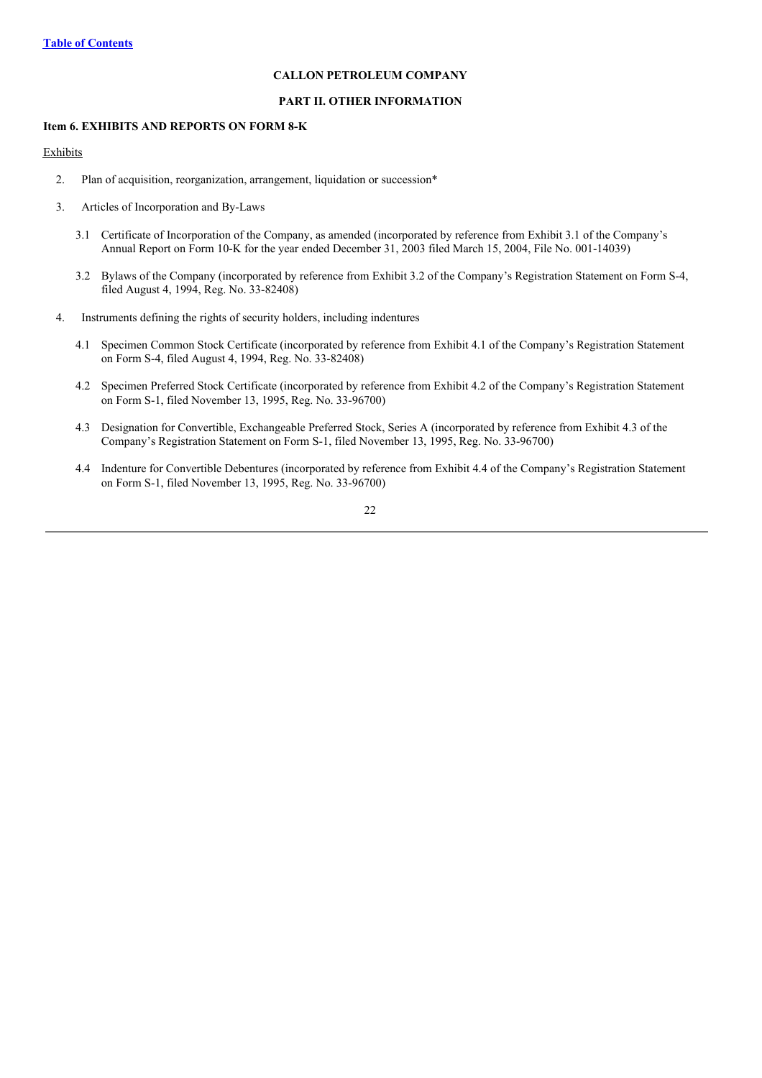#### **CALLON PETROLEUM COMPANY**

#### **PART II. OTHER INFORMATION**

#### **Item 6. EXHIBITS AND REPORTS ON FORM 8-K**

#### **Exhibits**

- 2. Plan of acquisition, reorganization, arrangement, liquidation or succession\*
- 3. Articles of Incorporation and By-Laws
	- 3.1 Certificate of Incorporation of the Company, as amended (incorporated by reference from Exhibit 3.1 of the Company's Annual Report on Form 10-K for the year ended December 31, 2003 filed March 15, 2004, File No. 001-14039)
	- 3.2 Bylaws of the Company (incorporated by reference from Exhibit 3.2 of the Company's Registration Statement on Form S-4, filed August 4, 1994, Reg. No. 33-82408)
- 4. Instruments defining the rights of security holders, including indentures
	- 4.1 Specimen Common Stock Certificate (incorporated by reference from Exhibit 4.1 of the Company's Registration Statement on Form S-4, filed August 4, 1994, Reg. No. 33-82408)
	- 4.2 Specimen Preferred Stock Certificate (incorporated by reference from Exhibit 4.2 of the Company's Registration Statement on Form S-1, filed November 13, 1995, Reg. No. 33-96700)
	- 4.3 Designation for Convertible, Exchangeable Preferred Stock, Series A (incorporated by reference from Exhibit 4.3 of the Company's Registration Statement on Form S-1, filed November 13, 1995, Reg. No. 33-96700)
	- 4.4 Indenture for Convertible Debentures (incorporated by reference from Exhibit 4.4 of the Company's Registration Statement on Form S-1, filed November 13, 1995, Reg. No. 33-96700)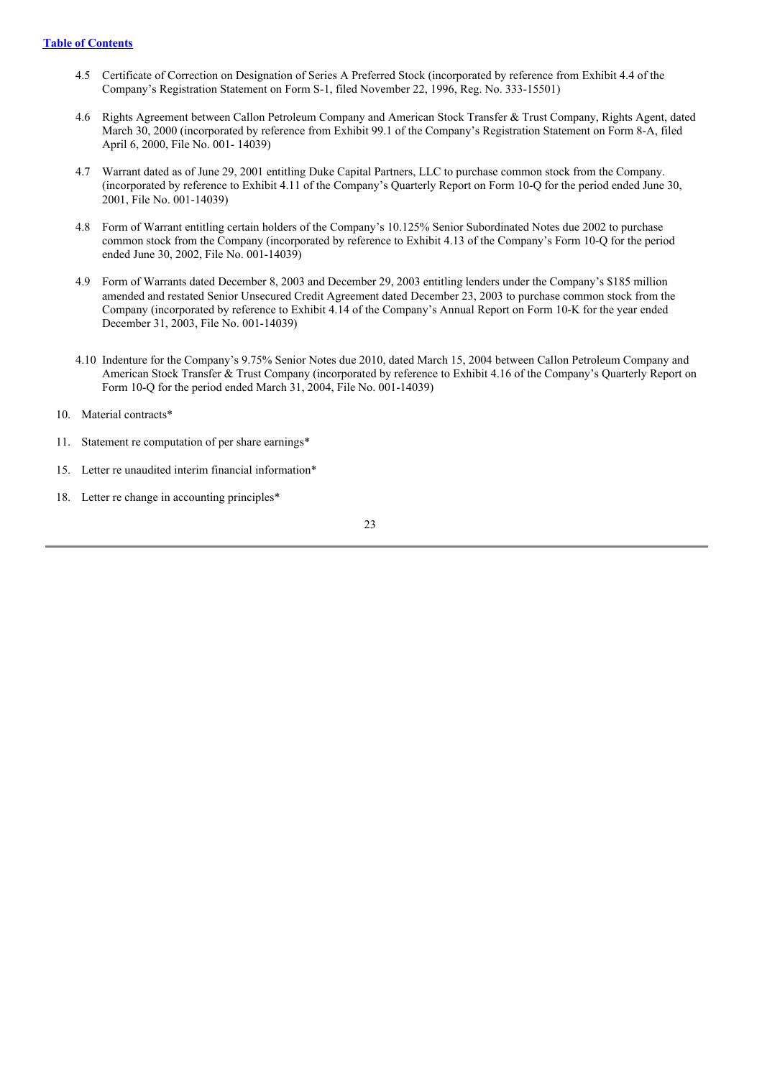- 4.5 Certificate of Correction on Designation of Series A Preferred Stock (incorporated by reference from Exhibit 4.4 of the Company's Registration Statement on Form S-1, filed November 22, 1996, Reg. No. 333-15501)
- 4.6 Rights Agreement between Callon Petroleum Company and American Stock Transfer & Trust Company, Rights Agent, dated March 30, 2000 (incorporated by reference from Exhibit 99.1 of the Company's Registration Statement on Form 8-A, filed April 6, 2000, File No. 001- 14039)
- 4.7 Warrant dated as of June 29, 2001 entitling Duke Capital Partners, LLC to purchase common stock from the Company. (incorporated by reference to Exhibit 4.11 of the Company's Quarterly Report on Form 10-Q for the period ended June 30, 2001, File No. 001-14039)
- 4.8 Form of Warrant entitling certain holders of the Company's 10.125% Senior Subordinated Notes due 2002 to purchase common stock from the Company (incorporated by reference to Exhibit 4.13 of the Company's Form 10-Q for the period ended June 30, 2002, File No. 001-14039)
- 4.9 Form of Warrants dated December 8, 2003 and December 29, 2003 entitling lenders under the Company's \$185 million amended and restated Senior Unsecured Credit Agreement dated December 23, 2003 to purchase common stock from the Company (incorporated by reference to Exhibit 4.14 of the Company's Annual Report on Form 10-K for the year ended December 31, 2003, File No. 001-14039)
- 4.10 Indenture for the Company's 9.75% Senior Notes due 2010, dated March 15, 2004 between Callon Petroleum Company and American Stock Transfer & Trust Company (incorporated by reference to Exhibit 4.16 of the Company's Quarterly Report on Form 10-Q for the period ended March 31, 2004, File No. 001-14039)
- 10. Material contracts\*
- 11. Statement re computation of per share earnings\*
- 15. Letter re unaudited interim financial information\*
- 18. Letter re change in accounting principles\*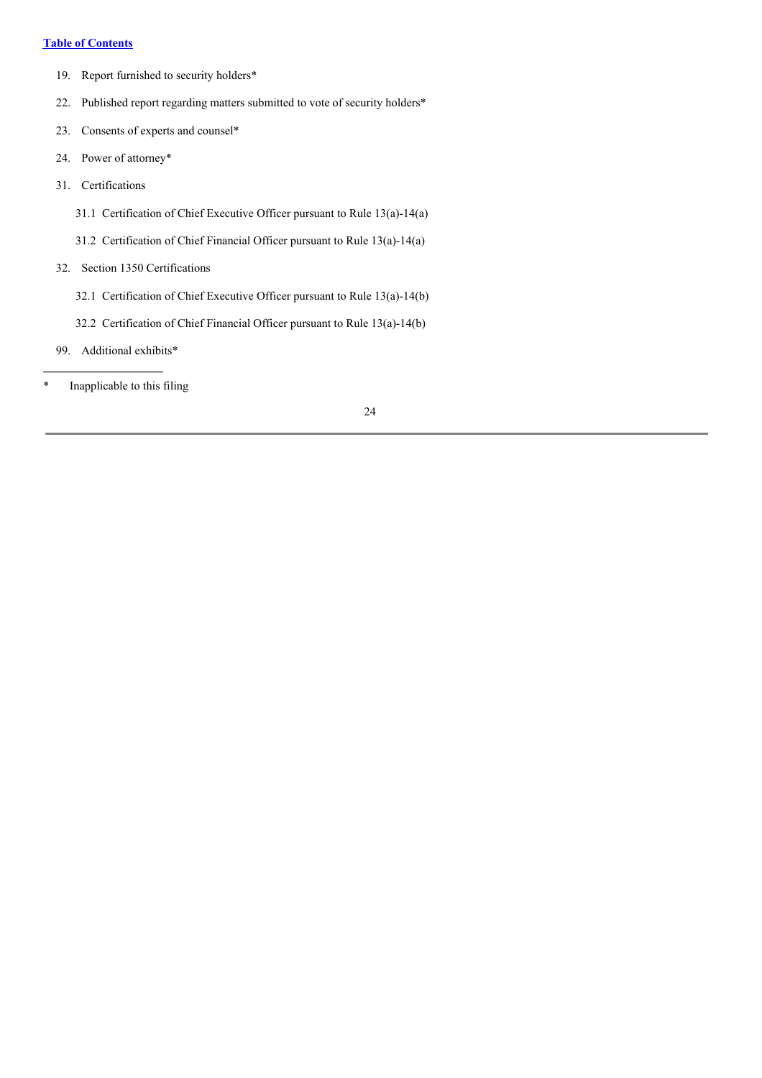- 19. Report furnished to security holders\*
- 22. Published report regarding matters submitted to vote of security holders\*
- 23. Consents of experts and counsel\*
- 24. Power of attorney\*
- 31. Certifications
	- 31.1 Certification of Chief Executive Officer pursuant to Rule 13(a)-14(a)
	- 31.2 Certification of Chief Financial Officer pursuant to Rule 13(a)-14(a)
- 32. Section 1350 Certifications
	- 32.1 Certification of Chief Executive Officer pursuant to Rule 13(a)-14(b)
	- 32.2 Certification of Chief Financial Officer pursuant to Rule 13(a)-14(b)
- 99. Additional exhibits\*
- \* Inapplicable to this filing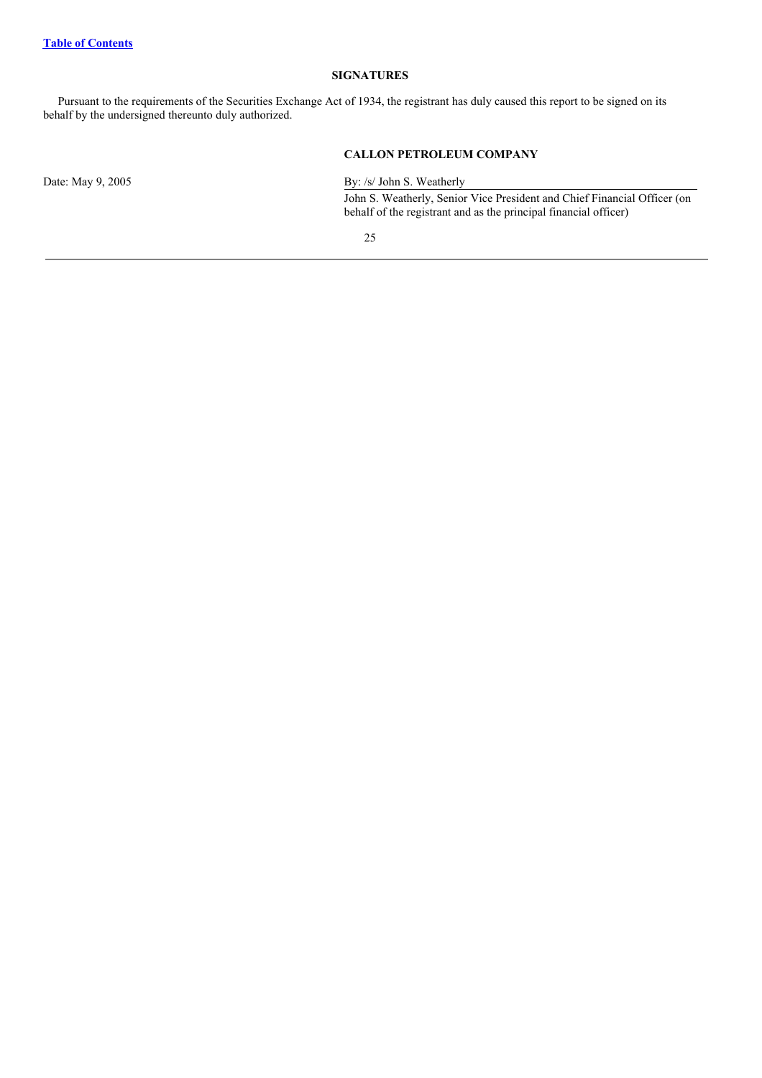## **SIGNATURES**

Pursuant to the requirements of the Securities Exchange Act of 1934, the registrant has duly caused this report to be signed on its behalf by the undersigned thereunto duly authorized.

## **CALLON PETROLEUM COMPANY**

Date: May 9, 2005 By: /s/ John S. Weatherly

John S. Weatherly, Senior Vice President and Chief Financial Officer (on behalf of the registrant and as the principal financial officer)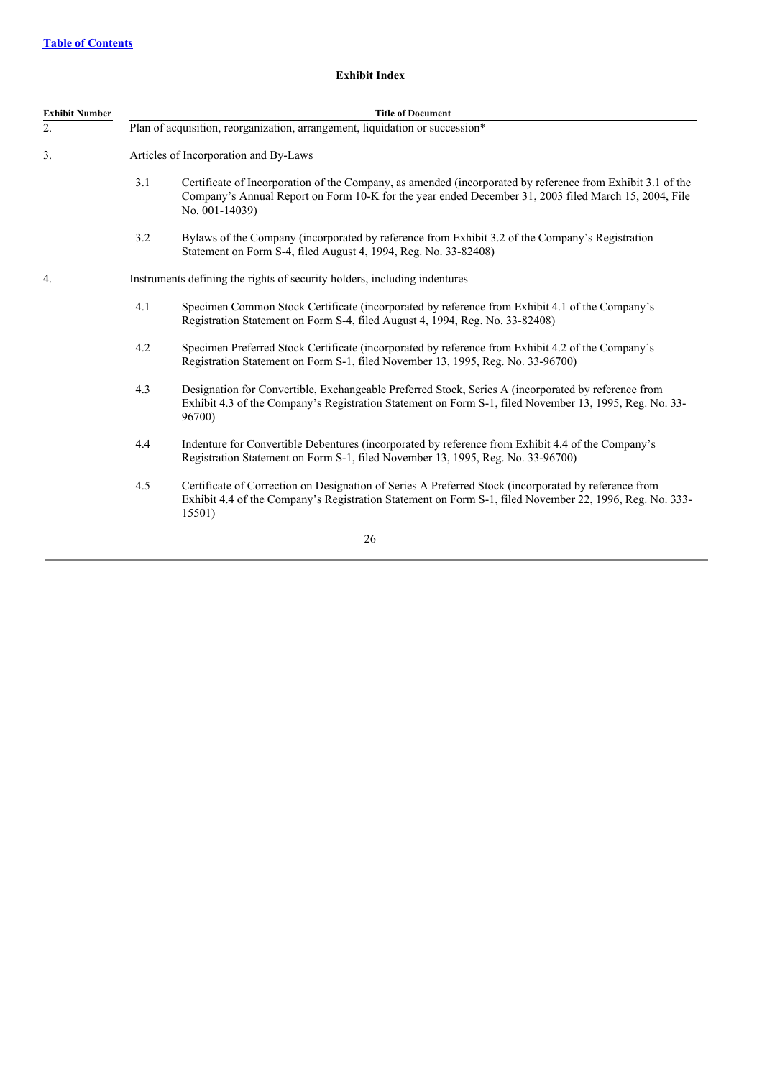## **Exhibit Index**

| <b>Exhibit Number</b> | <b>Title of Document</b>                                                     |                                                                                                                                                                                                                                      |  |
|-----------------------|------------------------------------------------------------------------------|--------------------------------------------------------------------------------------------------------------------------------------------------------------------------------------------------------------------------------------|--|
| $\overline{2}$ .      | Plan of acquisition, reorganization, arrangement, liquidation or succession* |                                                                                                                                                                                                                                      |  |
| 3.                    | Articles of Incorporation and By-Laws                                        |                                                                                                                                                                                                                                      |  |
|                       | 3.1                                                                          | Certificate of Incorporation of the Company, as amended (incorporated by reference from Exhibit 3.1 of the<br>Company's Annual Report on Form 10-K for the year ended December 31, 2003 filed March 15, 2004, File<br>No. 001-14039) |  |
|                       | 3.2                                                                          | Bylaws of the Company (incorporated by reference from Exhibit 3.2 of the Company's Registration<br>Statement on Form S-4, filed August 4, 1994, Reg. No. 33-82408)                                                                   |  |
| 4.                    | Instruments defining the rights of security holders, including indentures    |                                                                                                                                                                                                                                      |  |
|                       | 4.1                                                                          | Specimen Common Stock Certificate (incorporated by reference from Exhibit 4.1 of the Company's<br>Registration Statement on Form S-4, filed August 4, 1994, Reg. No. 33-82408)                                                       |  |
|                       | 4.2                                                                          | Specimen Preferred Stock Certificate (incorporated by reference from Exhibit 4.2 of the Company's<br>Registration Statement on Form S-1, filed November 13, 1995, Reg. No. 33-96700)                                                 |  |
|                       | 4.3                                                                          | Designation for Convertible, Exchangeable Preferred Stock, Series A (incorporated by reference from<br>Exhibit 4.3 of the Company's Registration Statement on Form S-1, filed November 13, 1995, Reg. No. 33-<br>96700)              |  |
|                       | 4.4                                                                          | Indenture for Convertible Debentures (incorporated by reference from Exhibit 4.4 of the Company's<br>Registration Statement on Form S-1, filed November 13, 1995, Reg. No. 33-96700)                                                 |  |
|                       | 4.5                                                                          | Certificate of Correction on Designation of Series A Preferred Stock (incorporated by reference from<br>Exhibit 4.4 of the Company's Registration Statement on Form S-1, filed November 22, 1996, Reg. No. 333-<br>15501)            |  |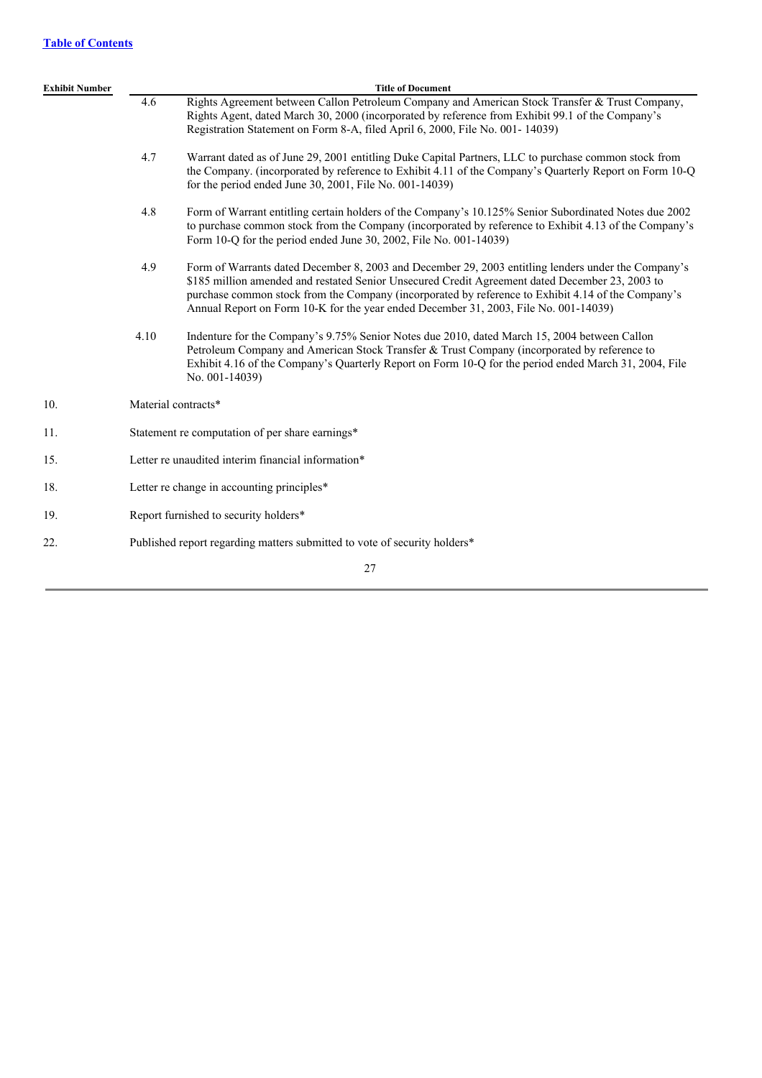| <b>Exhibit Number</b> |                                                                           | <b>Title of Document</b>                                                                                                                                                                                                                                                                                                                                                                             |  |
|-----------------------|---------------------------------------------------------------------------|------------------------------------------------------------------------------------------------------------------------------------------------------------------------------------------------------------------------------------------------------------------------------------------------------------------------------------------------------------------------------------------------------|--|
|                       | 4.6                                                                       | Rights Agreement between Callon Petroleum Company and American Stock Transfer & Trust Company,<br>Rights Agent, dated March 30, 2000 (incorporated by reference from Exhibit 99.1 of the Company's<br>Registration Statement on Form 8-A, filed April 6, 2000, File No. 001-14039)                                                                                                                   |  |
|                       | 4.7                                                                       | Warrant dated as of June 29, 2001 entitling Duke Capital Partners, LLC to purchase common stock from<br>the Company. (incorporated by reference to Exhibit 4.11 of the Company's Quarterly Report on Form 10-Q<br>for the period ended June 30, 2001, File No. 001-14039)                                                                                                                            |  |
|                       | 4.8                                                                       | Form of Warrant entitling certain holders of the Company's 10.125% Senior Subordinated Notes due 2002<br>to purchase common stock from the Company (incorporated by reference to Exhibit 4.13 of the Company's<br>Form 10-Q for the period ended June 30, 2002, File No. 001-14039)                                                                                                                  |  |
|                       | 4.9                                                                       | Form of Warrants dated December 8, 2003 and December 29, 2003 entitling lenders under the Company's<br>\$185 million amended and restated Senior Unsecured Credit Agreement dated December 23, 2003 to<br>purchase common stock from the Company (incorporated by reference to Exhibit 4.14 of the Company's<br>Annual Report on Form 10-K for the year ended December 31, 2003, File No. 001-14039) |  |
|                       | 4.10                                                                      | Indenture for the Company's 9.75% Senior Notes due 2010, dated March 15, 2004 between Callon<br>Petroleum Company and American Stock Transfer & Trust Company (incorporated by reference to<br>Exhibit 4.16 of the Company's Quarterly Report on Form 10-Q for the period ended March 31, 2004, File<br>No. 001-14039)                                                                               |  |
| 10.                   |                                                                           | Material contracts*                                                                                                                                                                                                                                                                                                                                                                                  |  |
| 11.                   | Statement re computation of per share earnings*                           |                                                                                                                                                                                                                                                                                                                                                                                                      |  |
| 15.                   | Letter re unaudited interim financial information*                        |                                                                                                                                                                                                                                                                                                                                                                                                      |  |
| 18.                   | Letter re change in accounting principles*                                |                                                                                                                                                                                                                                                                                                                                                                                                      |  |
| 19.                   | Report furnished to security holders*                                     |                                                                                                                                                                                                                                                                                                                                                                                                      |  |
| 22.                   | Published report regarding matters submitted to vote of security holders* |                                                                                                                                                                                                                                                                                                                                                                                                      |  |
|                       |                                                                           | 27                                                                                                                                                                                                                                                                                                                                                                                                   |  |
|                       |                                                                           |                                                                                                                                                                                                                                                                                                                                                                                                      |  |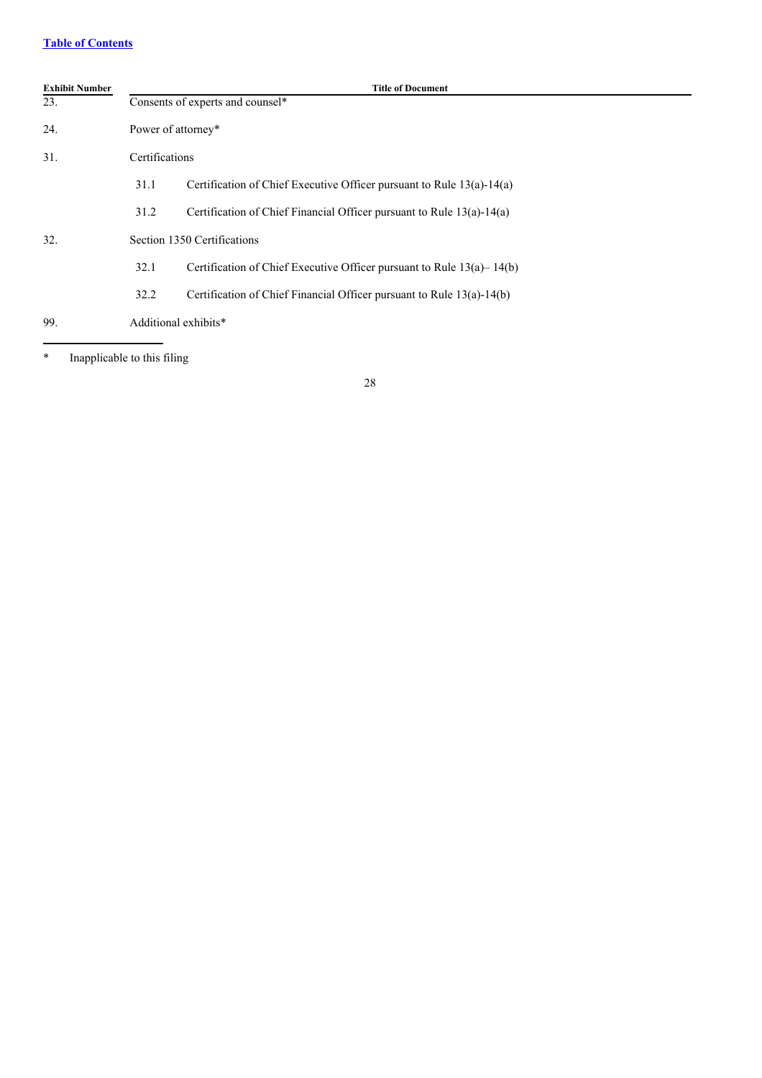| <b>Exhibit Number</b> | <b>Title of Document</b>         |                                                                           |  |
|-----------------------|----------------------------------|---------------------------------------------------------------------------|--|
| 23.                   | Consents of experts and counsel* |                                                                           |  |
| 24.                   | Power of attorney*               |                                                                           |  |
| 31.                   | Certifications                   |                                                                           |  |
|                       | 31.1                             | Certification of Chief Executive Officer pursuant to Rule $13(a)$ -14(a)  |  |
|                       | 31.2                             | Certification of Chief Financial Officer pursuant to Rule $13(a) - 14(a)$ |  |
| 32.                   |                                  | Section 1350 Certifications                                               |  |
|                       | 32.1                             | Certification of Chief Executive Officer pursuant to Rule $13(a) - 14(b)$ |  |
|                       | 32.2                             | Certification of Chief Financial Officer pursuant to Rule $13(a) - 14(b)$ |  |
| 99.                   | Additional exhibits*             |                                                                           |  |

\* Inapplicable to this filing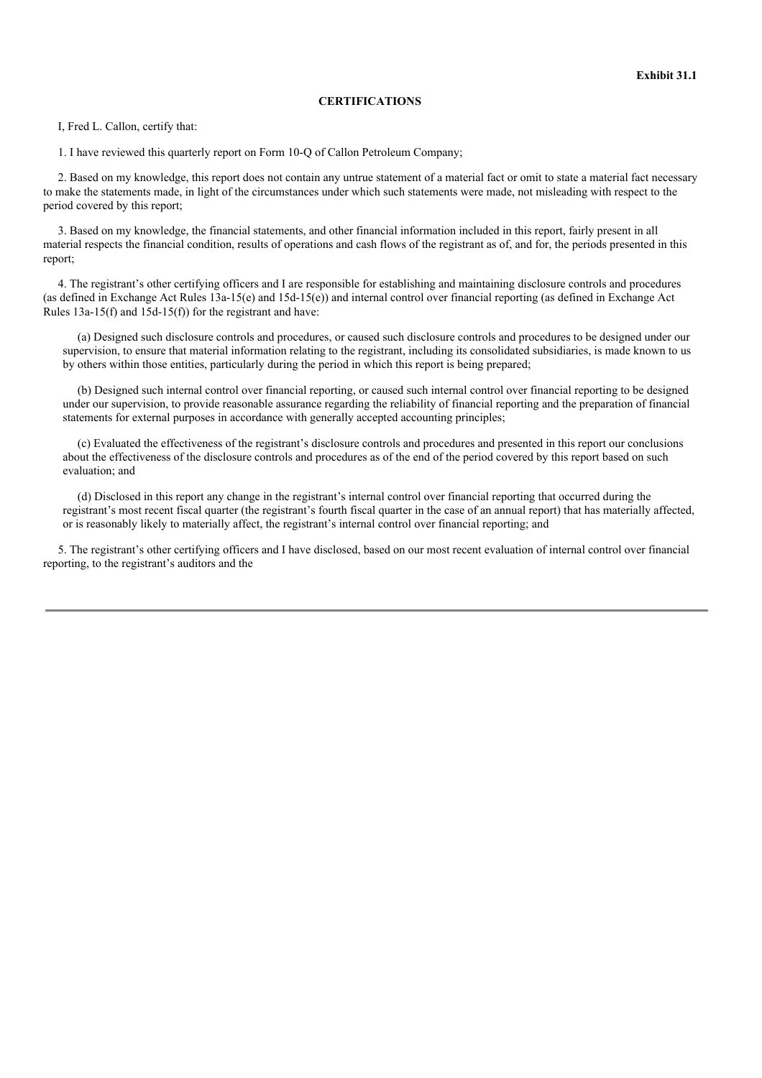#### **CERTIFICATIONS**

<span id="page-28-0"></span>I, Fred L. Callon, certify that:

1. I have reviewed this quarterly report on Form 10-Q of Callon Petroleum Company;

2. Based on my knowledge, this report does not contain any untrue statement of a material fact or omit to state a material fact necessary to make the statements made, in light of the circumstances under which such statements were made, not misleading with respect to the period covered by this report;

3. Based on my knowledge, the financial statements, and other financial information included in this report, fairly present in all material respects the financial condition, results of operations and cash flows of the registrant as of, and for, the periods presented in this report;

4. The registrant's other certifying officers and I are responsible for establishing and maintaining disclosure controls and procedures (as defined in Exchange Act Rules 13a-15(e) and 15d-15(e)) and internal control over financial reporting (as defined in Exchange Act Rules 13a-15(f) and 15d-15(f)) for the registrant and have:

(a) Designed such disclosure controls and procedures, or caused such disclosure controls and procedures to be designed under our supervision, to ensure that material information relating to the registrant, including its consolidated subsidiaries, is made known to us by others within those entities, particularly during the period in which this report is being prepared;

(b) Designed such internal control over financial reporting, or caused such internal control over financial reporting to be designed under our supervision, to provide reasonable assurance regarding the reliability of financial reporting and the preparation of financial statements for external purposes in accordance with generally accepted accounting principles;

(c) Evaluated the effectiveness of the registrant's disclosure controls and procedures and presented in this report our conclusions about the effectiveness of the disclosure controls and procedures as of the end of the period covered by this report based on such evaluation; and

(d) Disclosed in this report any change in the registrant's internal control over financial reporting that occurred during the registrant's most recent fiscal quarter (the registrant's fourth fiscal quarter in the case of an annual report) that has materially affected, or is reasonably likely to materially affect, the registrant's internal control over financial reporting; and

5. The registrant's other certifying officers and I have disclosed, based on our most recent evaluation of internal control over financial reporting, to the registrant's auditors and the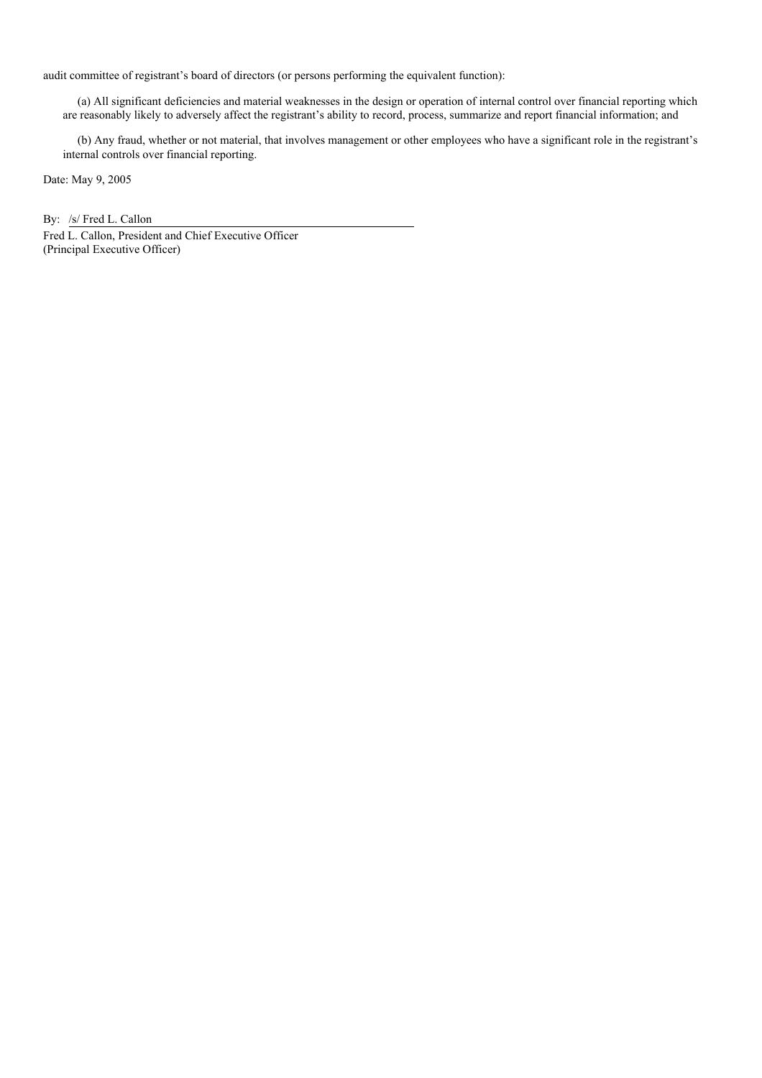audit committee of registrant's board of directors (or persons performing the equivalent function):

(a) All significant deficiencies and material weaknesses in the design or operation of internal control over financial reporting which are reasonably likely to adversely affect the registrant's ability to record, process, summarize and report financial information; and

(b) Any fraud, whether or not material, that involves management or other employees who have a significant role in the registrant's internal controls over financial reporting.

Date: May 9, 2005

By: /s/ Fred L. Callon

Fred L. Callon, President and Chief Executive Officer (Principal Executive Officer)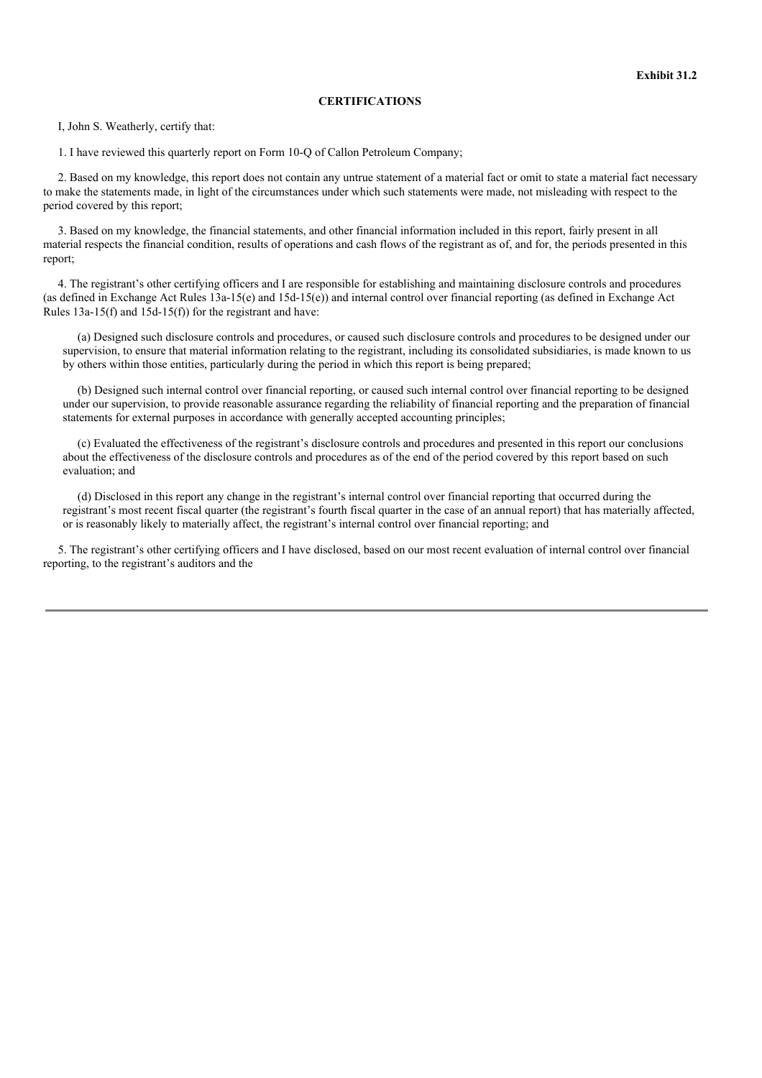#### **CERTIFICATIONS**

<span id="page-30-0"></span>I, John S. Weatherly, certify that:

1. I have reviewed this quarterly report on Form 10-Q of Callon Petroleum Company;

2. Based on my knowledge, this report does not contain any untrue statement of a material fact or omit to state a material fact necessary to make the statements made, in light of the circumstances under which such statements were made, not misleading with respect to the period covered by this report;

3. Based on my knowledge, the financial statements, and other financial information included in this report, fairly present in all material respects the financial condition, results of operations and cash flows of the registrant as of, and for, the periods presented in this report;

4. The registrant's other certifying officers and I are responsible for establishing and maintaining disclosure controls and procedures (as defined in Exchange Act Rules 13a-15(e) and 15d-15(e)) and internal control over financial reporting (as defined in Exchange Act Rules 13a-15(f) and 15d-15(f)) for the registrant and have:

(a) Designed such disclosure controls and procedures, or caused such disclosure controls and procedures to be designed under our supervision, to ensure that material information relating to the registrant, including its consolidated subsidiaries, is made known to us by others within those entities, particularly during the period in which this report is being prepared;

(b) Designed such internal control over financial reporting, or caused such internal control over financial reporting to be designed under our supervision, to provide reasonable assurance regarding the reliability of financial reporting and the preparation of financial statements for external purposes in accordance with generally accepted accounting principles;

(c) Evaluated the effectiveness of the registrant's disclosure controls and procedures and presented in this report our conclusions about the effectiveness of the disclosure controls and procedures as of the end of the period covered by this report based on such evaluation; and

(d) Disclosed in this report any change in the registrant's internal control over financial reporting that occurred during the registrant's most recent fiscal quarter (the registrant's fourth fiscal quarter in the case of an annual report) that has materially affected, or is reasonably likely to materially affect, the registrant's internal control over financial reporting; and

5. The registrant's other certifying officers and I have disclosed, based on our most recent evaluation of internal control over financial reporting, to the registrant's auditors and the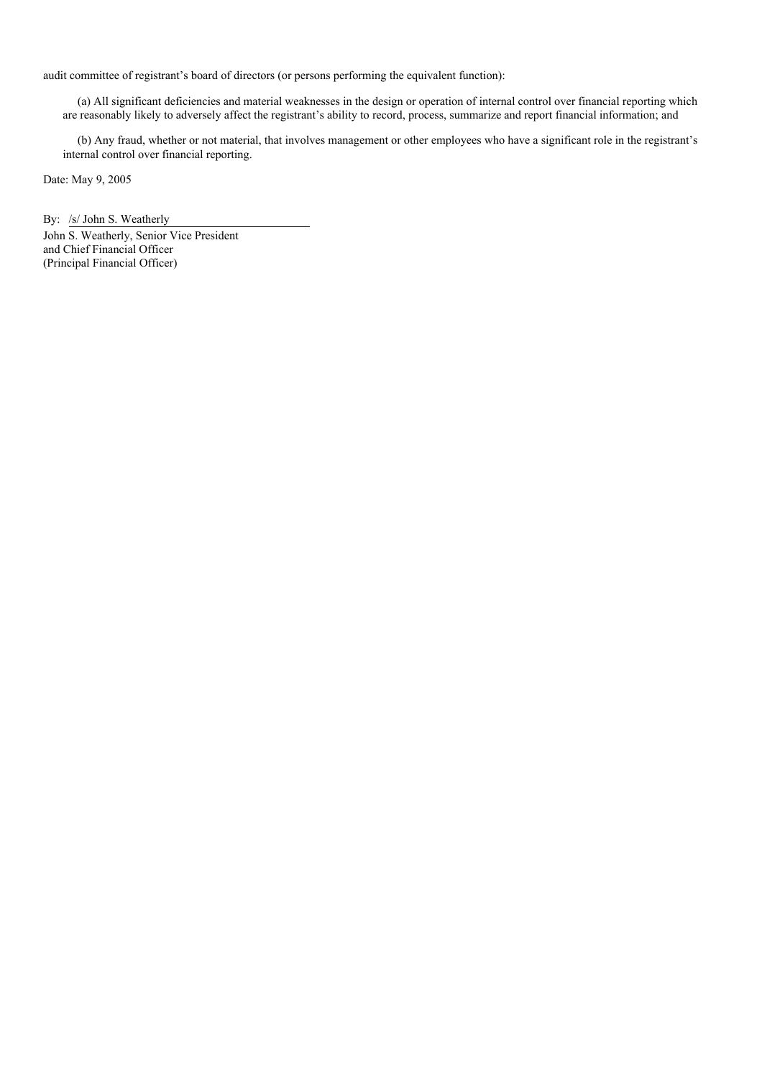audit committee of registrant's board of directors (or persons performing the equivalent function):

(a) All significant deficiencies and material weaknesses in the design or operation of internal control over financial reporting which are reasonably likely to adversely affect the registrant's ability to record, process, summarize and report financial information; and

(b) Any fraud, whether or not material, that involves management or other employees who have a significant role in the registrant's internal control over financial reporting.

Date: May 9, 2005

By: /s/ John S. Weatherly

John S. Weatherly, Senior Vice President and Chief Financial Officer (Principal Financial Officer)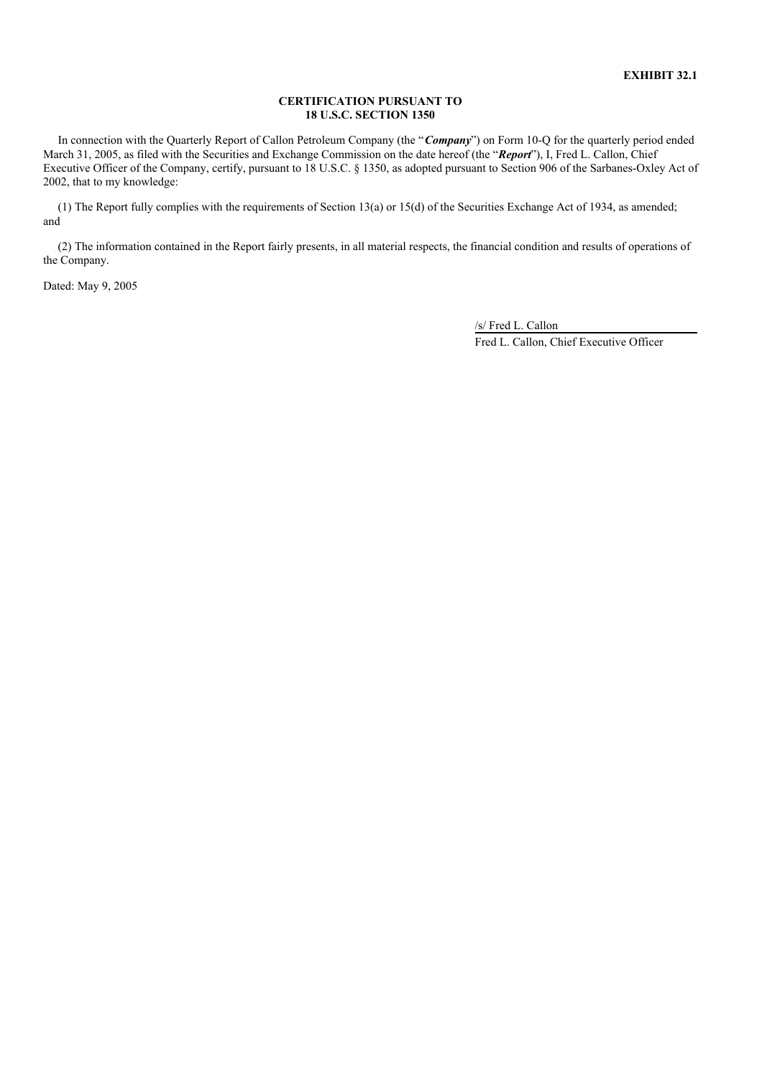#### **CERTIFICATION PURSUANT TO 18 U.S.C. SECTION 1350**

<span id="page-32-0"></span>In connection with the Quarterly Report of Callon Petroleum Company (the "*Company*") on Form 10-Q for the quarterly period ended March 31, 2005, as filed with the Securities and Exchange Commission on the date hereof (the "*Report*"), I, Fred L. Callon, Chief Executive Officer of the Company, certify, pursuant to 18 U.S.C. § 1350, as adopted pursuant to Section 906 of the Sarbanes-Oxley Act of 2002, that to my knowledge:

(1) The Report fully complies with the requirements of Section 13(a) or 15(d) of the Securities Exchange Act of 1934, as amended; and

(2) The information contained in the Report fairly presents, in all material respects, the financial condition and results of operations of the Company.

Dated: May 9, 2005

/s/ Fred L. Callon Fred L. Callon, Chief Executive Officer